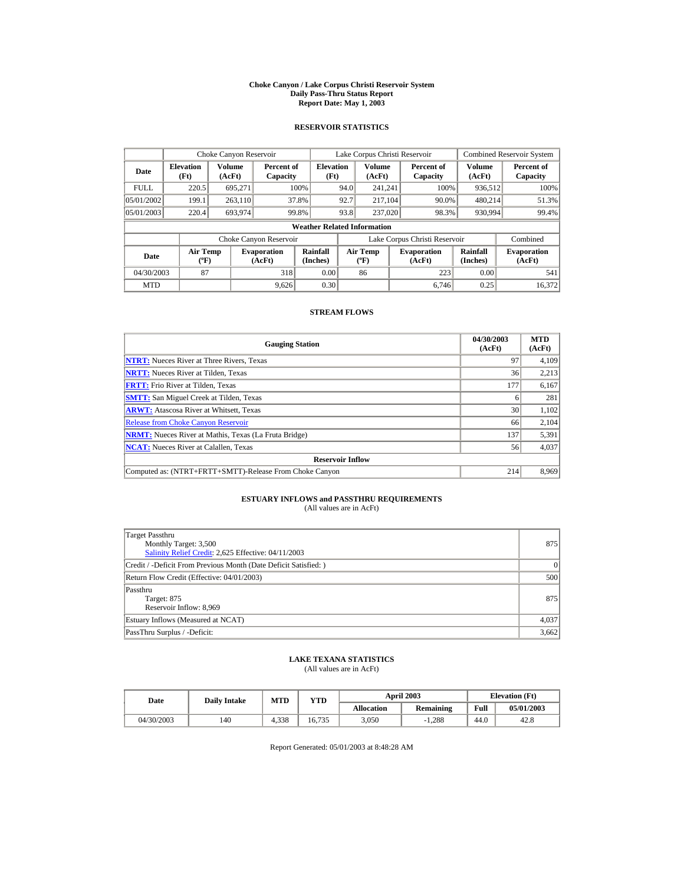#### **Choke Canyon / Lake Corpus Christi Reservoir System Daily Pass-Thru Status Report Report Date: May 1, 2003**

## **RESERVOIR STATISTICS**

| Choke Canyon Reservoir                     |                                             |         |                              |                                    |      | Lake Corpus Christi Reservoir           |                               |                      | <b>Combined Reservoir System</b> |
|--------------------------------------------|---------------------------------------------|---------|------------------------------|------------------------------------|------|-----------------------------------------|-------------------------------|----------------------|----------------------------------|
| <b>Elevation</b><br>Date<br>(Ft)<br>(AcFt) |                                             | Volume  | Percent of<br>Capacity       | <b>Elevation</b><br>(Ft)           |      | <b>Volume</b><br>(AcFt)                 | Percent of<br>Capacity        | Volume<br>(AcFt)     | Percent of<br>Capacity           |
| <b>FULL</b>                                | 220.5                                       | 695.271 |                              | 100%                               | 94.0 | 241.241                                 | 100%                          | 936,512              | 100%                             |
| 05/01/2002                                 | 199.1                                       | 263,110 |                              | 37.8%                              | 92.7 | 217.104                                 | 90.0%                         | 480,214              | 51.3%                            |
| 05/01/2003                                 | 220.4                                       | 693,974 |                              | 99.8%                              | 93.8 | 237,020                                 | 98.3%                         | 930,994              | 99.4%                            |
|                                            |                                             |         |                              | <b>Weather Related Information</b> |      |                                         |                               |                      |                                  |
|                                            |                                             |         | Choke Canyon Reservoir       |                                    |      |                                         | Lake Corpus Christi Reservoir |                      | Combined                         |
| Date                                       | <b>Air Temp</b><br>$({}^{\circ}\mathrm{F})$ |         | <b>Evaporation</b><br>(AcFt) | Rainfall<br>(Inches)               |      | <b>Air Temp</b><br>$(^{\circ}\text{F})$ | <b>Evaporation</b><br>(AcFt)  | Rainfall<br>(Inches) | <b>Evaporation</b><br>(AcFt)     |
| 04/30/2003                                 | 87                                          |         | 318                          | 0.00                               |      | 86                                      | 223                           | 0.00                 | 541                              |
| <b>MTD</b>                                 |                                             |         | 9.626                        | 0.30                               |      |                                         | 6.746                         | 0.25                 | 16.372                           |

## **STREAM FLOWS**

| <b>Gauging Station</b>                                       | 04/30/2003<br>(AcFt) | <b>MTD</b><br>(AcFt) |
|--------------------------------------------------------------|----------------------|----------------------|
| <b>NTRT:</b> Nueces River at Three Rivers, Texas             | 97                   | 4.109                |
| <b>NRTT:</b> Nueces River at Tilden. Texas                   | 36                   | 2,213                |
| <b>FRTT:</b> Frio River at Tilden, Texas                     | 177                  | 6,167                |
| <b>SMTT:</b> San Miguel Creek at Tilden, Texas               |                      | 281                  |
| <b>ARWT:</b> Atascosa River at Whitsett, Texas               | 30                   | 1,102                |
| <b>Release from Choke Canyon Reservoir</b>                   | 66                   | 2,104                |
| <b>NRMT:</b> Nueces River at Mathis, Texas (La Fruta Bridge) | 137                  | 5,391                |
| <b>NCAT:</b> Nueces River at Calallen, Texas                 | 56                   | 4,037                |
| <b>Reservoir Inflow</b>                                      |                      |                      |
| Computed as: (NTRT+FRTT+SMTT)-Release From Choke Canyon      | 214                  | 8,969                |

# **ESTUARY INFLOWS and PASSTHRU REQUIREMENTS**<br>(All values are in AcFt)

| Target Passthru<br>Monthly Target: 3,500<br>Salinity Relief Credit: 2,625 Effective: 04/11/2003 | 875   |
|-------------------------------------------------------------------------------------------------|-------|
| Credit / -Deficit From Previous Month (Date Deficit Satisfied: )                                | 0     |
| Return Flow Credit (Effective: 04/01/2003)                                                      | 500   |
| Passthru<br>Target: 875<br>Reservoir Inflow: 8,969                                              | 875   |
| Estuary Inflows (Measured at NCAT)                                                              | 4,037 |
| PassThru Surplus / -Deficit:                                                                    | 3,662 |

## **LAKE TEXANA STATISTICS**

(All values are in AcFt)

| Date       | <b>Daily Intake</b> | MTD   | YTD    |                   | <b>April 2003</b> |      | <b>Elevation</b> (Ft) |
|------------|---------------------|-------|--------|-------------------|-------------------|------|-----------------------|
|            |                     |       |        | <b>Allocation</b> | <b>Remaining</b>  | Full | 05/01/2003            |
| 04/30/2003 | 140                 | 4.338 | 16.735 | 3.050             | $-1.288$          | 44.0 | 42.8                  |

Report Generated: 05/01/2003 at 8:48:28 AM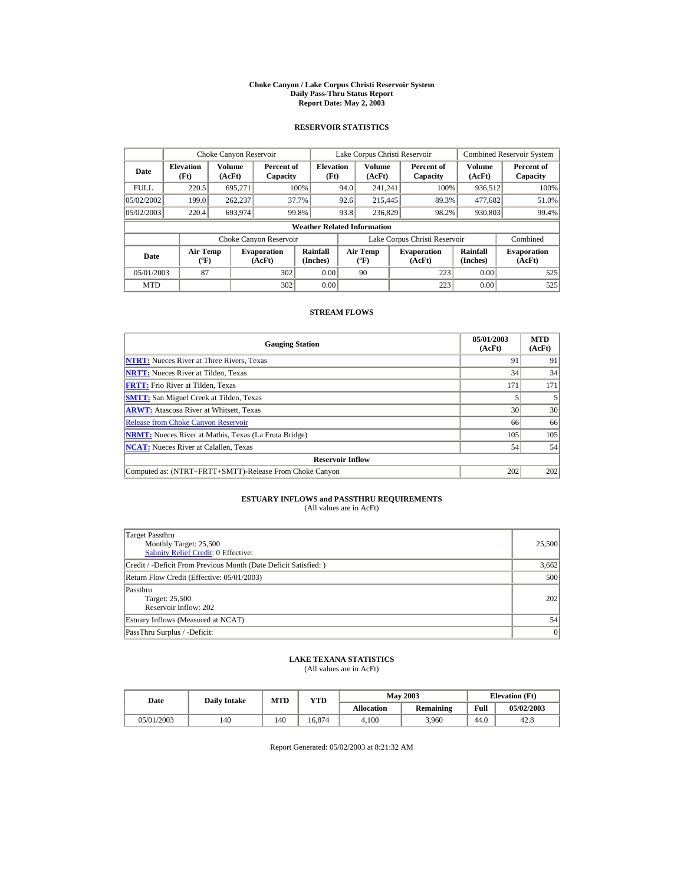#### **Choke Canyon / Lake Corpus Christi Reservoir System Daily Pass-Thru Status Report Report Date: May 2, 2003**

## **RESERVOIR STATISTICS**

| Choke Canyon Reservoir |                                |                  |                              |                                    | Lake Corpus Christi Reservoir |                                   |                               | <b>Combined Reservoir System</b> |                              |
|------------------------|--------------------------------|------------------|------------------------------|------------------------------------|-------------------------------|-----------------------------------|-------------------------------|----------------------------------|------------------------------|
| Date                   | <b>Elevation</b><br>(Ft)       | Volume<br>(AcFt) | Percent of<br>Capacity       | <b>Elevation</b><br>(Ft)           |                               | Volume<br>(AcFt)                  | Percent of<br>Capacity        | <b>Volume</b><br>(AcFt)          | Percent of<br>Capacity       |
| <b>FULL</b>            | 220.5                          | 695.271          |                              | 100%                               | 94.0                          | 241.241                           | 100%                          | 936.512                          | 100%                         |
| 05/02/2002             | 199.0                          | 262.237          |                              | 37.7%                              | 92.6                          | 215,445                           | 89.3%                         | 477.682                          | 51.0%                        |
| 05/02/2003             | 220.4                          | 693.974          |                              | 99.8%                              | 93.8                          | 236,829                           | 98.2%                         | 930.803                          | 99.4%                        |
|                        |                                |                  |                              | <b>Weather Related Information</b> |                               |                                   |                               |                                  |                              |
|                        |                                |                  | Choke Canyon Reservoir       |                                    |                               |                                   | Lake Corpus Christi Reservoir |                                  | Combined                     |
| Date                   | Air Temp<br>$({}^o\mathrm{F})$ |                  | <b>Evaporation</b><br>(AcFt) | Rainfall<br>(Inches)               |                               | Air Temp<br>$({}^{\circ}{\rm F})$ | <b>Evaporation</b><br>(AcFt)  | Rainfall<br>(Inches)             | <b>Evaporation</b><br>(AcFt) |
| 05/01/2003             | 87                             |                  | 302                          | 0.00                               |                               | 90                                | 223                           | 0.00                             | 525                          |
| <b>MTD</b>             |                                |                  | 302                          | 0.00                               |                               |                                   | 223                           | 0.00                             | 525                          |

## **STREAM FLOWS**

| <b>Gauging Station</b>                                       | 05/01/2003<br>(AcFt) | <b>MTD</b><br>(AcFt) |
|--------------------------------------------------------------|----------------------|----------------------|
| <b>NTRT:</b> Nueces River at Three Rivers, Texas             | 91                   | 91                   |
| <b>NRTT:</b> Nueces River at Tilden, Texas                   | 34                   | 34                   |
| <b>FRTT:</b> Frio River at Tilden. Texas                     | 171                  | 171                  |
| <b>SMTT:</b> San Miguel Creek at Tilden, Texas               |                      |                      |
| <b>ARWT:</b> Atascosa River at Whitsett, Texas               | 30                   | 30                   |
| <b>Release from Choke Canyon Reservoir</b>                   | 66                   | 66                   |
| <b>NRMT:</b> Nueces River at Mathis, Texas (La Fruta Bridge) | 105                  | 105                  |
| <b>NCAT:</b> Nueces River at Calallen, Texas                 | 54                   | 54                   |
| <b>Reservoir Inflow</b>                                      |                      |                      |
| Computed as: (NTRT+FRTT+SMTT)-Release From Choke Canyon      | 202                  | 202                  |

# **ESTUARY INFLOWS and PASSTHRU REQUIREMENTS**<br>(All values are in AcFt)

| Target Passthru<br>Monthly Target: 25,500<br><b>Salinity Relief Credit: 0 Effective:</b> | 25,500 |
|------------------------------------------------------------------------------------------|--------|
| Credit / -Deficit From Previous Month (Date Deficit Satisfied: )                         | 3,662  |
| Return Flow Credit (Effective: 05/01/2003)                                               | 500    |
| Passthru<br>Target: 25,500<br>Reservoir Inflow: 202                                      | 202    |
| Estuary Inflows (Measured at NCAT)                                                       | 54     |
| PassThru Surplus / -Deficit:                                                             | 0      |

## **LAKE TEXANA STATISTICS**

(All values are in AcFt)

| Date       | <b>Daily Intake</b> | MTD | YTD    |                   | <b>May 2003</b>  |      | <b>Elevation</b> (Ft) |
|------------|---------------------|-----|--------|-------------------|------------------|------|-----------------------|
|            |                     |     |        | <b>Allocation</b> | <b>Remaining</b> | Full | 05/02/2003            |
| 05/01/2003 | 140                 | 140 | 16.874 | 4.100             | 3.960            | 44.0 | 42.8                  |

Report Generated: 05/02/2003 at 8:21:32 AM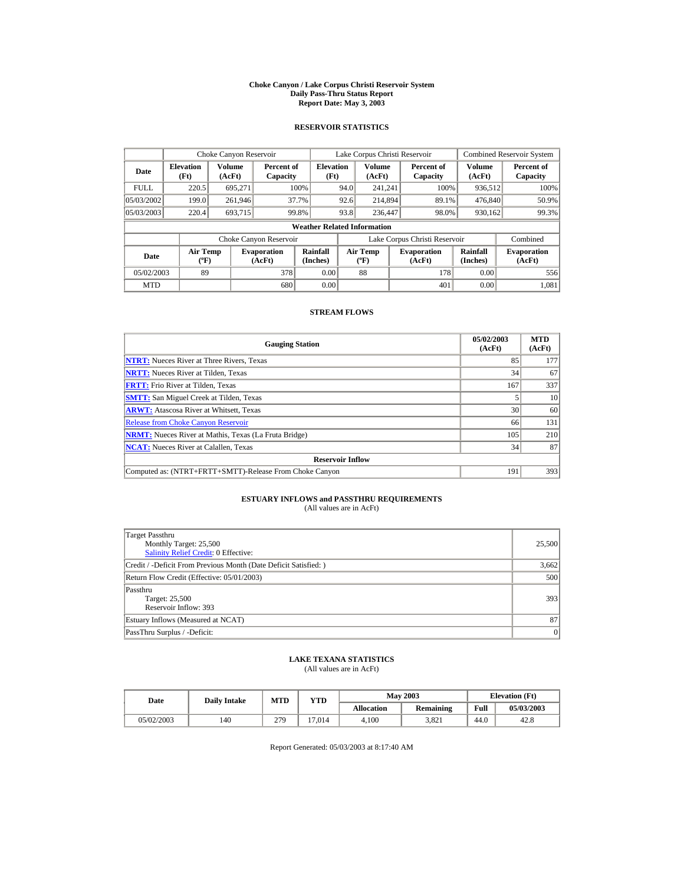#### **Choke Canyon / Lake Corpus Christi Reservoir System Daily Pass-Thru Status Report Report Date: May 3, 2003**

## **RESERVOIR STATISTICS**

|                                  | Choke Canyon Reservoir                      |                  |                              |                                    |      | Lake Corpus Christi Reservoir             |                               |                      | <b>Combined Reservoir System</b> |
|----------------------------------|---------------------------------------------|------------------|------------------------------|------------------------------------|------|-------------------------------------------|-------------------------------|----------------------|----------------------------------|
| <b>Elevation</b><br>Date<br>(Ft) |                                             | Volume<br>(AcFt) | Percent of<br>Capacity       | <b>Elevation</b><br>(Ft)           |      | Volume<br>(AcFt)                          | Percent of<br>Capacity        | Volume<br>(AcFt)     | Percent of<br>Capacity           |
| <b>FULL</b>                      | 220.5                                       | 695.271          |                              | 100%                               | 94.0 | 241.241                                   | 100%                          | 936,512              | 100%                             |
| 05/03/2002                       | 199.0                                       | 261,946          |                              | 37.7%                              | 92.6 | 214,894                                   | 89.1%                         | 476,840              | 50.9%                            |
| 05/03/2003                       | 220.4                                       | 693.715          |                              | 99.8%                              | 93.8 | 236,447                                   | 98.0%                         | 930,162              | 99.3%                            |
|                                  |                                             |                  |                              | <b>Weather Related Information</b> |      |                                           |                               |                      |                                  |
|                                  |                                             |                  | Choke Canyon Reservoir       |                                    |      |                                           | Lake Corpus Christi Reservoir |                      | Combined                         |
| Date                             | <b>Air Temp</b><br>$({}^{\circ}\mathrm{F})$ |                  | <b>Evaporation</b><br>(AcFt) | Rainfall<br>(Inches)               |      | <b>Air Temp</b><br>$({}^{\circ}\text{F})$ | <b>Evaporation</b><br>(AcFt)  | Rainfall<br>(Inches) | <b>Evaporation</b><br>(AcFt)     |
| 05/02/2003                       | 89                                          |                  | 378                          | 0.00                               |      | 88                                        | 178                           | 0.00                 | 556                              |
| <b>MTD</b>                       |                                             |                  | 680                          | 0.00                               |      |                                           | 401                           | 0.00                 | 1.081                            |

## **STREAM FLOWS**

| <b>Gauging Station</b>                                       | 05/02/2003<br>(AcFt) | <b>MTD</b><br>(AcFt) |
|--------------------------------------------------------------|----------------------|----------------------|
| <b>NTRT:</b> Nueces River at Three Rivers, Texas             | 85                   | 177                  |
| <b>NRTT:</b> Nueces River at Tilden. Texas                   | 34                   | 67                   |
| <b>FRTT:</b> Frio River at Tilden, Texas                     | 167                  | 337                  |
| <b>SMTT:</b> San Miguel Creek at Tilden, Texas               |                      | 10                   |
| <b>ARWT:</b> Atascosa River at Whitsett, Texas               | 30                   | 60                   |
| <b>Release from Choke Canyon Reservoir</b>                   | 66                   | 131                  |
| <b>NRMT:</b> Nueces River at Mathis, Texas (La Fruta Bridge) | 105                  | 210                  |
| <b>NCAT:</b> Nueces River at Calallen, Texas                 | 34                   | 87                   |
| <b>Reservoir Inflow</b>                                      |                      |                      |
| Computed as: (NTRT+FRTT+SMTT)-Release From Choke Canyon      | 191                  | 393                  |

# **ESTUARY INFLOWS and PASSTHRU REQUIREMENTS**<br>(All values are in AcFt)

| Target Passthru<br>Monthly Target: 25,500<br><b>Salinity Relief Credit: 0 Effective:</b> | 25,500 |
|------------------------------------------------------------------------------------------|--------|
| Credit / -Deficit From Previous Month (Date Deficit Satisfied: )                         | 3,662  |
| Return Flow Credit (Effective: 05/01/2003)                                               | 500    |
| Passthru<br>Target: 25,500<br>Reservoir Inflow: 393                                      | 393    |
| Estuary Inflows (Measured at NCAT)                                                       | 87     |
| PassThru Surplus / -Deficit:                                                             | 0      |

## **LAKE TEXANA STATISTICS**

(All values are in AcFt)

| Date       | <b>Daily Intake</b> | MTD | YTD    |                   | <b>May 2003</b>  |      | <b>Elevation</b> (Ft) |
|------------|---------------------|-----|--------|-------------------|------------------|------|-----------------------|
|            |                     |     |        | <b>Allocation</b> | <b>Remaining</b> | Full | 05/03/2003            |
| 05/02/2003 | 140                 | 279 | 17.014 | 4.100             | 3.821            | 44.0 | 42.8                  |

Report Generated: 05/03/2003 at 8:17:40 AM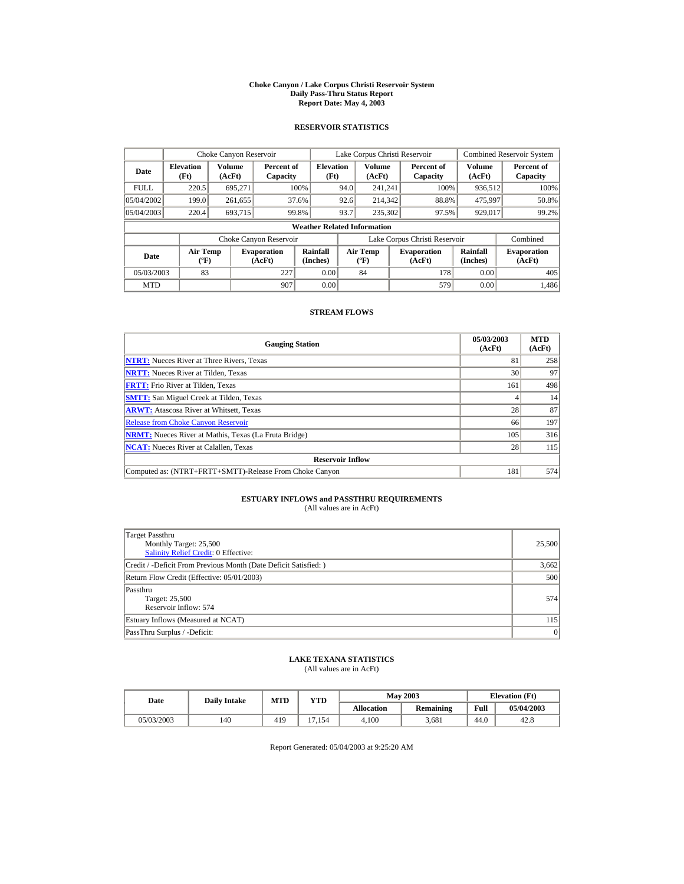#### **Choke Canyon / Lake Corpus Christi Reservoir System Daily Pass-Thru Status Report Report Date: May 4, 2003**

## **RESERVOIR STATISTICS**

|                                  | Choke Canyon Reservoir                      |                  |                              |                                    |      | Lake Corpus Christi Reservoir             |                               |                      | <b>Combined Reservoir System</b> |
|----------------------------------|---------------------------------------------|------------------|------------------------------|------------------------------------|------|-------------------------------------------|-------------------------------|----------------------|----------------------------------|
| <b>Elevation</b><br>Date<br>(Ft) |                                             | Volume<br>(AcFt) | Percent of<br>Capacity       | <b>Elevation</b><br>(Ft)           |      | Volume<br>(AcFt)                          | Percent of<br>Capacity        | Volume<br>(AcFt)     | Percent of<br>Capacity           |
| <b>FULL</b>                      | 220.5                                       | 695.271          |                              | 100%                               | 94.0 | 241.241                                   | 100%                          | 936,512              | 100%                             |
| 05/04/2002                       | 199.0                                       | 261,655          |                              | 37.6%                              | 92.6 | 214,342                                   | 88.8%                         | 475,997              | 50.8%                            |
| 05/04/2003                       | 220.4                                       | 693.715          |                              | 99.8%                              | 93.7 | 235,302                                   | 97.5%                         | 929,017              | 99.2%                            |
|                                  |                                             |                  |                              | <b>Weather Related Information</b> |      |                                           |                               |                      |                                  |
|                                  |                                             |                  | Choke Canyon Reservoir       |                                    |      |                                           | Lake Corpus Christi Reservoir |                      | Combined                         |
| Date                             | <b>Air Temp</b><br>$({}^{\circ}\mathrm{F})$ |                  | <b>Evaporation</b><br>(AcFt) | Rainfall<br>(Inches)               |      | <b>Air Temp</b><br>$({}^{\circ}\text{F})$ | <b>Evaporation</b><br>(AcFt)  | Rainfall<br>(Inches) | <b>Evaporation</b><br>(AcFt)     |
| 05/03/2003                       | 83                                          |                  | 227                          | 0.00                               |      | 84                                        | 178                           | 0.00                 | 405                              |
| <b>MTD</b>                       |                                             |                  | 907                          | 0.00                               |      |                                           | 579                           | 0.00                 | 1.486                            |

## **STREAM FLOWS**

| <b>Gauging Station</b>                                       | 05/03/2003<br>(AcFt) | <b>MTD</b><br>(AcFt) |
|--------------------------------------------------------------|----------------------|----------------------|
| <b>NTRT:</b> Nueces River at Three Rivers, Texas             | 81                   | 258                  |
| <b>NRTT:</b> Nueces River at Tilden, Texas                   | 30                   | 97                   |
| <b>FRTT:</b> Frio River at Tilden, Texas                     | 161                  | 498                  |
| <b>SMTT:</b> San Miguel Creek at Tilden, Texas               |                      | 14                   |
| <b>ARWT:</b> Atascosa River at Whitsett, Texas               | 28                   | 87                   |
| <b>Release from Choke Canyon Reservoir</b>                   | 66                   | 197                  |
| <b>NRMT:</b> Nueces River at Mathis, Texas (La Fruta Bridge) | 105                  | 316                  |
| <b>NCAT:</b> Nueces River at Calallen, Texas                 | 28                   | 115                  |
| <b>Reservoir Inflow</b>                                      |                      |                      |
| Computed as: (NTRT+FRTT+SMTT)-Release From Choke Canyon      | 181                  | 574                  |

# **ESTUARY INFLOWS and PASSTHRU REQUIREMENTS**<br>(All values are in AcFt)

| Target Passthru<br>Monthly Target: 25,500<br>Salinity Relief Credit: 0 Effective: | 25,500 |
|-----------------------------------------------------------------------------------|--------|
| Credit / -Deficit From Previous Month (Date Deficit Satisfied: )                  | 3,662  |
| Return Flow Credit (Effective: 05/01/2003)                                        | 500    |
| Passthru<br>Target: 25,500<br>Reservoir Inflow: 574                               | 574    |
| Estuary Inflows (Measured at NCAT)                                                | 115    |
| PassThru Surplus / -Deficit:                                                      | 0      |

## **LAKE TEXANA STATISTICS**

(All values are in AcFt)

| Date       | <b>Daily Intake</b> | MTD<br>$_{\rm VTD}$ |                      |            | <b>May 2003</b> | <b>Elevation</b> (Ft) |            |  |
|------------|---------------------|---------------------|----------------------|------------|-----------------|-----------------------|------------|--|
|            |                     |                     |                      | Allocation | Remaining       | Full                  | 05/04/2003 |  |
| 05/03/2003 | 140                 | 419                 | .154<br>$\mathbf{r}$ | 4.100      | 3.681           | 44.0                  | 42.8       |  |

Report Generated: 05/04/2003 at 9:25:20 AM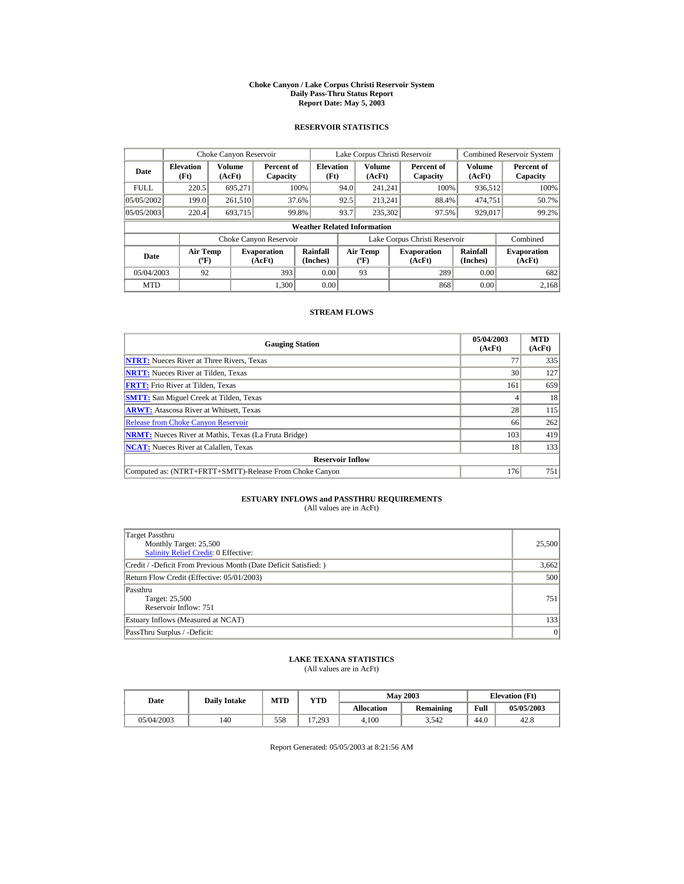#### **Choke Canyon / Lake Corpus Christi Reservoir System Daily Pass-Thru Status Report Report Date: May 5, 2003**

## **RESERVOIR STATISTICS**

|                                  | Choke Canyon Reservoir                |                  |                              |                          |      | Lake Corpus Christi Reservoir     |  |                               |                         | <b>Combined Reservoir System</b> |
|----------------------------------|---------------------------------------|------------------|------------------------------|--------------------------|------|-----------------------------------|--|-------------------------------|-------------------------|----------------------------------|
| <b>Elevation</b><br>Date<br>(Ft) |                                       | Volume<br>(AcFt) | Percent of<br>Capacity       | <b>Elevation</b><br>(Ft) |      | <b>Volume</b><br>(AcFt)           |  | Percent of<br>Capacity        | <b>Volume</b><br>(AcFt) | Percent of<br>Capacity           |
| <b>FULL</b>                      | 220.5                                 | 695.271          |                              | 100%                     | 94.0 | 241.241                           |  | 100%                          | 936,512                 | 100%                             |
| 05/05/2002                       | 199.0                                 | 261,510          |                              | 37.6%                    | 92.5 | 213.241                           |  | 88.4%                         | 474,751                 | 50.7%                            |
| 05/05/2003                       | 220.4                                 | 693,715          |                              | 99.8%                    | 93.7 | 235,302                           |  | 97.5%                         | 929,017                 | 99.2%                            |
|                                  | <b>Weather Related Information</b>    |                  |                              |                          |      |                                   |  |                               |                         |                                  |
|                                  |                                       |                  | Choke Canyon Reservoir       |                          |      |                                   |  | Lake Corpus Christi Reservoir |                         | Combined                         |
| Date                             | <b>Air Temp</b><br>$({}^o\mathrm{F})$ |                  | <b>Evaporation</b><br>(AcFt) | Rainfall<br>(Inches)     |      | Air Temp<br>$({}^{\circ}{\rm F})$ |  | <b>Evaporation</b><br>(AcFt)  | Rainfall<br>(Inches)    | <b>Evaporation</b><br>(AcFt)     |
| 05/04/2003                       | 92                                    |                  | 393                          | 0.00                     |      | 93                                |  | 289                           | 0.00                    | 682                              |
| <b>MTD</b>                       |                                       |                  | 1.300                        | 0.00                     |      |                                   |  | 868                           | 0.00                    | 2.168                            |

## **STREAM FLOWS**

| <b>Gauging Station</b>                                       | 05/04/2003<br>(AcFt) | <b>MTD</b><br>(AcFt) |
|--------------------------------------------------------------|----------------------|----------------------|
| <b>NTRT:</b> Nueces River at Three Rivers, Texas             | 77                   | 335                  |
| <b>NRTT:</b> Nueces River at Tilden. Texas                   | 30                   | 127                  |
| <b>FRTT:</b> Frio River at Tilden, Texas                     | 161                  | 659                  |
| <b>SMTT:</b> San Miguel Creek at Tilden, Texas               |                      | 18                   |
| <b>ARWT:</b> Atascosa River at Whitsett, Texas               | 28                   | 115                  |
| <b>Release from Choke Canyon Reservoir</b>                   | 66                   | 262                  |
| <b>NRMT:</b> Nueces River at Mathis, Texas (La Fruta Bridge) | 103                  | 419                  |
| <b>NCAT:</b> Nueces River at Calallen, Texas                 | 18                   | 133                  |
| <b>Reservoir Inflow</b>                                      |                      |                      |
| Computed as: (NTRT+FRTT+SMTT)-Release From Choke Canyon      | 176                  | 751                  |

# **ESTUARY INFLOWS and PASSTHRU REQUIREMENTS**<br>(All values are in AcFt)

| Target Passthru<br>Monthly Target: 25,500<br>Salinity Relief Credit: 0 Effective: | 25,500 |
|-----------------------------------------------------------------------------------|--------|
| Credit / -Deficit From Previous Month (Date Deficit Satisfied: )                  | 3,662  |
| Return Flow Credit (Effective: 05/01/2003)                                        | 500    |
| Passthru<br>Target: 25,500<br>Reservoir Inflow: 751                               | 751    |
| Estuary Inflows (Measured at NCAT)                                                | 133    |
| PassThru Surplus / -Deficit:                                                      | 0      |

## **LAKE TEXANA STATISTICS**

(All values are in AcFt)

| Date       | <b>Daily Intake</b> | MTD | YTD    |                   | <b>May 2003</b>  |      | <b>Elevation</b> (Ft) |
|------------|---------------------|-----|--------|-------------------|------------------|------|-----------------------|
|            |                     |     |        | <b>Allocation</b> | <b>Remaining</b> | Full | 05/05/2003            |
| 05/04/2003 | 140                 | 558 | 17.293 | 4.100             | 3,542            | 44.0 | 42.8                  |

Report Generated: 05/05/2003 at 8:21:56 AM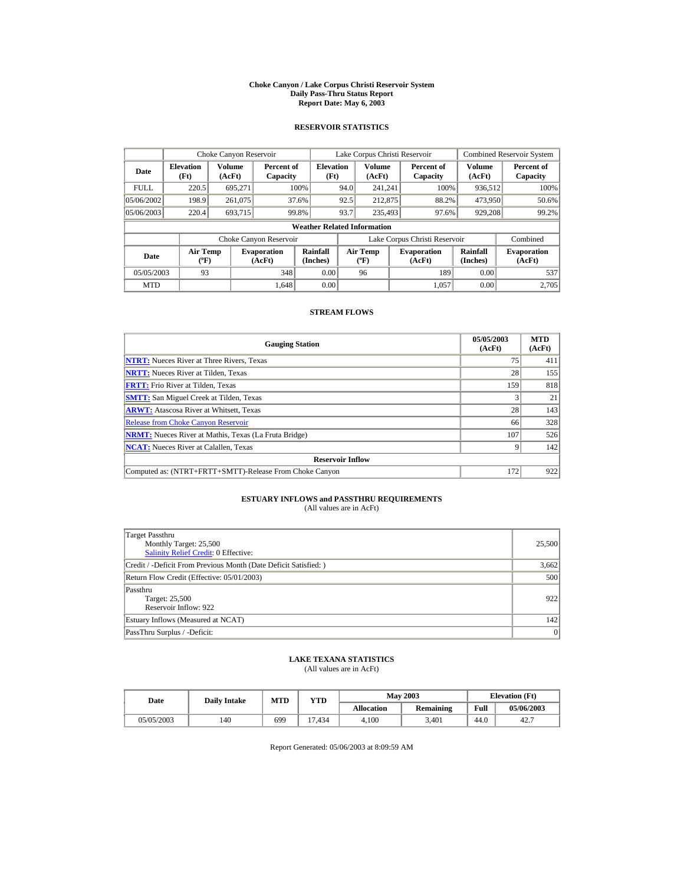#### **Choke Canyon / Lake Corpus Christi Reservoir System Daily Pass-Thru Status Report Report Date: May 6, 2003**

## **RESERVOIR STATISTICS**

|                                  | Choke Canyon Reservoir             |                  |                              |                          |                               | Lake Corpus Christi Reservoir            |  |                              |                         | <b>Combined Reservoir System</b> |
|----------------------------------|------------------------------------|------------------|------------------------------|--------------------------|-------------------------------|------------------------------------------|--|------------------------------|-------------------------|----------------------------------|
| <b>Elevation</b><br>Date<br>(Ft) |                                    | Volume<br>(AcFt) | Percent of<br>Capacity       | <b>Elevation</b><br>(Ft) |                               | <b>Volume</b><br>(AcFt)                  |  | Percent of<br>Capacity       | <b>Volume</b><br>(AcFt) | Percent of<br>Capacity           |
| <b>FULL</b>                      | 220.5                              | 695.271          |                              | 100%                     | 94.0                          | 241.241                                  |  | 100%                         | 936,512                 | 100%                             |
| 05/06/2002                       | 198.9                              | 261,075          |                              | 37.6%                    | 92.5                          | 212,875                                  |  | 88.2%                        | 473,950                 | 50.6%                            |
| 05/06/2003                       | 220.4                              | 693,715          |                              | 99.8%                    | 93.7                          | 235,493                                  |  | 97.6%                        | 929,208                 | 99.2%                            |
|                                  | <b>Weather Related Information</b> |                  |                              |                          |                               |                                          |  |                              |                         |                                  |
|                                  |                                    |                  | Choke Canyon Reservoir       |                          | Lake Corpus Christi Reservoir |                                          |  |                              | Combined                |                                  |
| Date                             | Air Temp<br>$({}^o\mathrm{F})$     |                  | <b>Evaporation</b><br>(AcFt) | Rainfall<br>(Inches)     |                               | <b>Air Temp</b><br>$({}^{\circ}{\rm F})$ |  | <b>Evaporation</b><br>(AcFt) | Rainfall<br>(Inches)    | <b>Evaporation</b><br>(AcFt)     |
| 05/05/2003                       | 93                                 |                  | 348                          | 0.00                     |                               | 96                                       |  | 189                          | 0.00                    | 537                              |
| <b>MTD</b>                       |                                    |                  | 1.648                        | 0.00                     |                               |                                          |  | 1.057                        | 0.00                    | 2.705                            |

## **STREAM FLOWS**

| <b>Gauging Station</b>                                       | 05/05/2003<br>(AcFt) | <b>MTD</b><br>(AcFt) |
|--------------------------------------------------------------|----------------------|----------------------|
| <b>NTRT:</b> Nueces River at Three Rivers, Texas             | 75                   | 411                  |
| <b>NRTT:</b> Nueces River at Tilden. Texas                   | 28                   | 155                  |
| <b>FRTT:</b> Frio River at Tilden, Texas                     | 159                  | 818                  |
| <b>SMTT:</b> San Miguel Creek at Tilden, Texas               |                      | 21                   |
| <b>ARWT:</b> Atascosa River at Whitsett, Texas               | 28                   | 143                  |
| <b>Release from Choke Canyon Reservoir</b>                   | 66                   | 328                  |
| <b>NRMT:</b> Nueces River at Mathis, Texas (La Fruta Bridge) | 107                  | 526                  |
| <b>NCAT:</b> Nueces River at Calallen, Texas                 |                      | 142                  |
| <b>Reservoir Inflow</b>                                      |                      |                      |
| Computed as: (NTRT+FRTT+SMTT)-Release From Choke Canyon      | 172                  | 922                  |

# **ESTUARY INFLOWS and PASSTHRU REQUIREMENTS**<br>(All values are in AcFt)

| Target Passthru<br>Monthly Target: 25,500<br><b>Salinity Relief Credit: 0 Effective:</b> | 25,500 |
|------------------------------------------------------------------------------------------|--------|
| Credit / -Deficit From Previous Month (Date Deficit Satisfied: )                         | 3,662  |
| Return Flow Credit (Effective: 05/01/2003)                                               | 500    |
| Passthru<br>Target: 25,500<br>Reservoir Inflow: 922                                      | 922    |
| Estuary Inflows (Measured at NCAT)                                                       | 142    |
| PassThru Surplus / -Deficit:                                                             | 0      |

## **LAKE TEXANA STATISTICS**

(All values are in AcFt)

| Date       | <b>Daily Intake</b> | MTD | YTD    |                   | <b>May 2003</b>  | <b>Elevation</b> (Ft) |            |
|------------|---------------------|-----|--------|-------------------|------------------|-----------------------|------------|
|            |                     |     |        | <b>Allocation</b> | <b>Remaining</b> | Full                  | 05/06/2003 |
| 05/05/2003 | 140                 | 699 | 17.434 | 4.100             | 3.401            | 44.0                  | 42.7       |

Report Generated: 05/06/2003 at 8:09:59 AM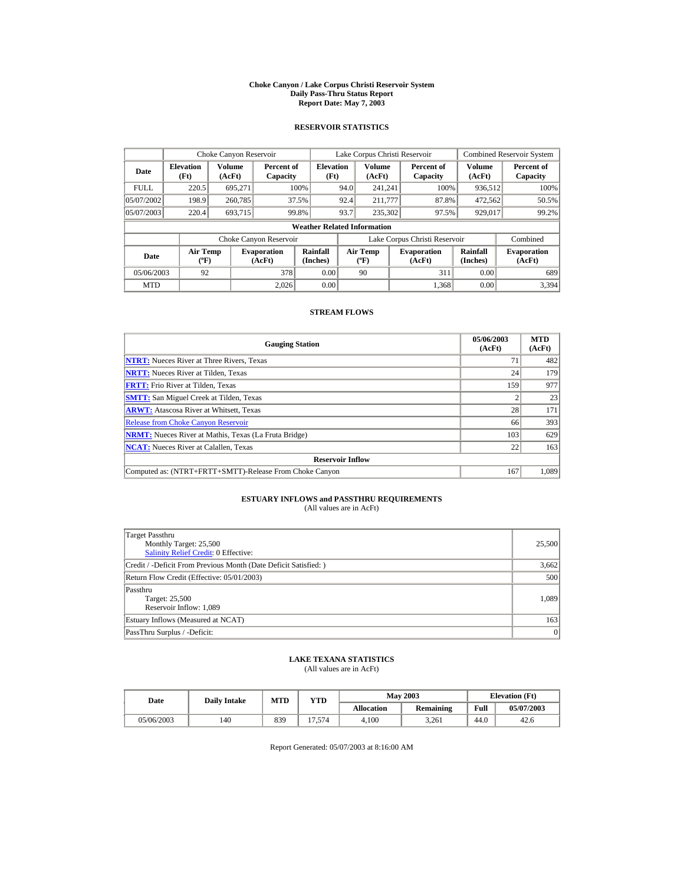#### **Choke Canyon / Lake Corpus Christi Reservoir System Daily Pass-Thru Status Report Report Date: May 7, 2003**

## **RESERVOIR STATISTICS**

|             | Choke Canyon Reservoir                      |                  |                              |                          |      | Lake Corpus Christi Reservoir           |  |                               |                      | <b>Combined Reservoir System</b> |  |  |
|-------------|---------------------------------------------|------------------|------------------------------|--------------------------|------|-----------------------------------------|--|-------------------------------|----------------------|----------------------------------|--|--|
| Date        | <b>Elevation</b><br>(Ft)                    | Volume<br>(AcFt) | Percent of<br>Capacity       | <b>Elevation</b><br>(Ft) |      | <b>Volume</b><br>(AcFt)                 |  | Percent of<br>Capacity        | Volume<br>(AcFt)     | Percent of<br>Capacity           |  |  |
| <b>FULL</b> | 220.5                                       | 695.271          |                              | 100%                     | 94.0 | 241.241                                 |  | 100%                          | 936,512              | 100%                             |  |  |
| 05/07/2002  | 198.9                                       | 260,785          |                              | 37.5%                    | 92.4 | 211,777                                 |  | 87.8%                         | 472,562              | 50.5%                            |  |  |
| 05/07/2003  | 220.4                                       | 693,715          |                              | 99.8%                    | 93.7 | 235,302                                 |  | 97.5%                         | 929,017              | 99.2%                            |  |  |
|             | <b>Weather Related Information</b>          |                  |                              |                          |      |                                         |  |                               |                      |                                  |  |  |
|             |                                             |                  | Choke Canyon Reservoir       |                          |      |                                         |  | Lake Corpus Christi Reservoir |                      | Combined                         |  |  |
| Date        | <b>Air Temp</b><br>$({}^{\circ}\mathrm{F})$ |                  | <b>Evaporation</b><br>(AcFt) | Rainfall<br>(Inches)     |      | <b>Air Temp</b><br>$(^{\circ}\text{F})$ |  | <b>Evaporation</b><br>(AcFt)  | Rainfall<br>(Inches) | <b>Evaporation</b><br>(AcFt)     |  |  |
| 05/06/2003  | 92                                          |                  | 378                          | 0.00                     |      | 90                                      |  | 311                           | 0.00                 | 689                              |  |  |
| <b>MTD</b>  |                                             |                  | 2.026                        | 0.00                     |      |                                         |  | 1.368                         | 0.00                 | 3.394                            |  |  |

## **STREAM FLOWS**

| <b>Gauging Station</b>                                       | 05/06/2003<br>(AcFt) | <b>MTD</b><br>(AcFt) |
|--------------------------------------------------------------|----------------------|----------------------|
| <b>NTRT:</b> Nueces River at Three Rivers, Texas             | $\tau$               | 482                  |
| <b>NRTT:</b> Nueces River at Tilden. Texas                   | 24                   | 179                  |
| <b>FRTT:</b> Frio River at Tilden, Texas                     | 159                  | 977                  |
| <b>SMTT:</b> San Miguel Creek at Tilden, Texas               |                      | 23                   |
| <b>ARWT:</b> Atascosa River at Whitsett, Texas               | 28                   | 171                  |
| <b>Release from Choke Canyon Reservoir</b>                   | 66                   | 393                  |
| <b>NRMT:</b> Nueces River at Mathis, Texas (La Fruta Bridge) | 103                  | 629                  |
| <b>NCAT:</b> Nueces River at Calallen, Texas                 | 22                   | 163                  |
| <b>Reservoir Inflow</b>                                      |                      |                      |
| Computed as: (NTRT+FRTT+SMTT)-Release From Choke Canyon      | 167                  | 1,089                |

# **ESTUARY INFLOWS and PASSTHRU REQUIREMENTS**<br>(All values are in AcFt)

| Target Passthru<br>Monthly Target: 25,500<br>Salinity Relief Credit: 0 Effective: | 25,500 |
|-----------------------------------------------------------------------------------|--------|
| Credit / -Deficit From Previous Month (Date Deficit Satisfied: )                  | 3,662  |
| Return Flow Credit (Effective: 05/01/2003)                                        | 500    |
| Passthru<br>Target: 25,500<br>Reservoir Inflow: 1,089                             | 1.089  |
| Estuary Inflows (Measured at NCAT)                                                | 163    |
| PassThru Surplus / -Deficit:                                                      | 0      |

## **LAKE TEXANA STATISTICS**

(All values are in AcFt)

| Date       |     | MTD<br>YTD<br><b>Daily Intake</b> |                      |                   | <b>May 2003</b>  | <b>Elevation</b> (Ft) |            |
|------------|-----|-----------------------------------|----------------------|-------------------|------------------|-----------------------|------------|
|            |     |                                   |                      | <b>Allocation</b> | <b>Remaining</b> | Full                  | 05/07/2003 |
| 05/06/2003 | 140 | 839                               | .574<br>$\mathbf{r}$ | 4.100             | 3.261            | 44.0                  | 42.6       |

Report Generated: 05/07/2003 at 8:16:00 AM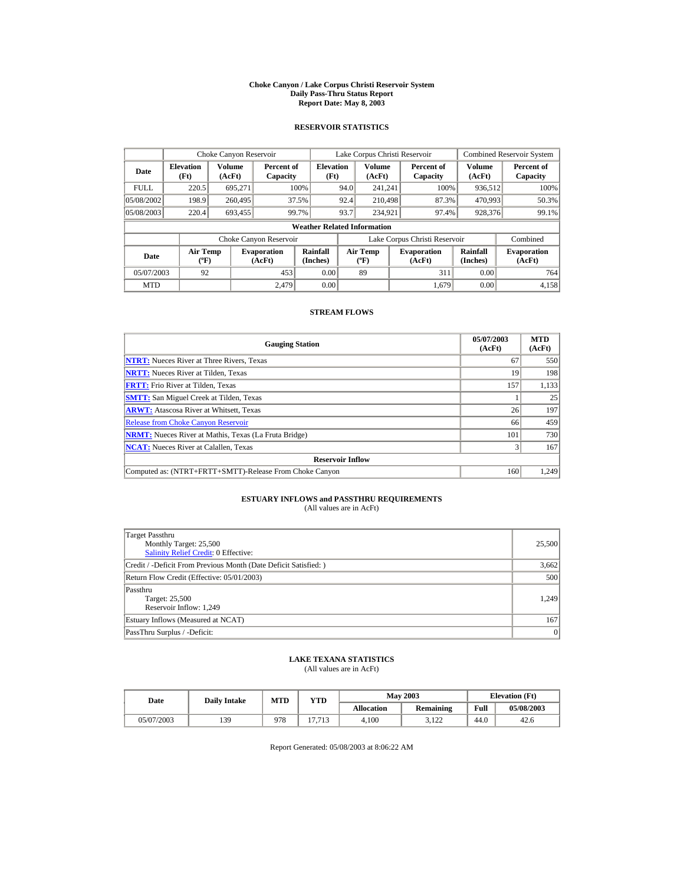#### **Choke Canyon / Lake Corpus Christi Reservoir System Daily Pass-Thru Status Report Report Date: May 8, 2003**

## **RESERVOIR STATISTICS**

|             | Choke Canyon Reservoir                |                  |                              |                          |      | Lake Corpus Christi Reservoir            |  |                               |                      | <b>Combined Reservoir System</b> |  |  |  |
|-------------|---------------------------------------|------------------|------------------------------|--------------------------|------|------------------------------------------|--|-------------------------------|----------------------|----------------------------------|--|--|--|
| Date        | <b>Elevation</b><br>(Ft)              | Volume<br>(AcFt) | Percent of<br>Capacity       | <b>Elevation</b><br>(Ft) |      | <b>Volume</b><br>(AcFt)                  |  | Percent of<br>Capacity        | Volume<br>(AcFt)     | Percent of<br>Capacity           |  |  |  |
| <b>FULL</b> | 220.5                                 | 695.271          |                              | 100%                     | 94.0 | 241.241                                  |  | 100%                          | 936,512              | 100%                             |  |  |  |
| 05/08/2002  | 198.9                                 | 260,495          |                              | 37.5%                    | 92.4 | 210,498                                  |  | 87.3%                         | 470,993              | 50.3%                            |  |  |  |
| 05/08/2003  | 220.4                                 | 693,455          |                              | 99.7%                    | 93.7 | 234,921                                  |  | 97.4%                         | 928,376              | 99.1%                            |  |  |  |
|             | <b>Weather Related Information</b>    |                  |                              |                          |      |                                          |  |                               |                      |                                  |  |  |  |
|             |                                       |                  | Choke Canyon Reservoir       |                          |      |                                          |  | Lake Corpus Christi Reservoir |                      | Combined                         |  |  |  |
| <b>Date</b> | <b>Air Temp</b><br>$({}^o\mathrm{F})$ |                  | <b>Evaporation</b><br>(AcFt) | Rainfall<br>(Inches)     |      | <b>Air Temp</b><br>$({}^{\circ}{\rm F})$ |  | <b>Evaporation</b><br>(AcFt)  | Rainfall<br>(Inches) | <b>Evaporation</b><br>(AcFt)     |  |  |  |
| 05/07/2003  | 92                                    |                  | 453                          | 0.00                     |      | 89                                       |  | 311                           | 0.00                 | 764                              |  |  |  |
| <b>MTD</b>  |                                       |                  | 2.479                        | 0.00                     |      |                                          |  | 1.679                         | 0.00                 | 4.158                            |  |  |  |

## **STREAM FLOWS**

| <b>Gauging Station</b>                                       | 05/07/2003<br>(AcFt) | <b>MTD</b><br>(AcFt) |
|--------------------------------------------------------------|----------------------|----------------------|
| <b>NTRT:</b> Nueces River at Three Rivers, Texas             | 67                   | 550                  |
| <b>NRTT:</b> Nueces River at Tilden. Texas                   | 19                   | 198                  |
| <b>FRTT:</b> Frio River at Tilden, Texas                     | 157                  | 1,133                |
| <b>SMTT:</b> San Miguel Creek at Tilden, Texas               |                      | 25                   |
| <b>ARWT:</b> Atascosa River at Whitsett, Texas               | 26                   | 197                  |
| <b>Release from Choke Canyon Reservoir</b>                   | 66                   | 459                  |
| <b>NRMT:</b> Nueces River at Mathis, Texas (La Fruta Bridge) | 101                  | 730                  |
| <b>NCAT:</b> Nueces River at Calallen, Texas                 |                      | 167                  |
| <b>Reservoir Inflow</b>                                      |                      |                      |
| Computed as: (NTRT+FRTT+SMTT)-Release From Choke Canyon      | 160                  | 1,249                |

# **ESTUARY INFLOWS and PASSTHRU REQUIREMENTS**<br>(All values are in AcFt)

| Target Passthru<br>Monthly Target: 25,500<br>Salinity Relief Credit: 0 Effective: | 25,500 |
|-----------------------------------------------------------------------------------|--------|
| Credit / -Deficit From Previous Month (Date Deficit Satisfied: )                  | 3,662  |
| Return Flow Credit (Effective: 05/01/2003)                                        | 500    |
| Passthru<br>Target: 25,500<br>Reservoir Inflow: 1,249                             | 1.249  |
| Estuary Inflows (Measured at NCAT)                                                | 167    |
| PassThru Surplus / -Deficit:                                                      | 0      |

## **LAKE TEXANA STATISTICS**

(All values are in AcFt)

| Date       | <b>Daily Intake</b> | MTD | YTD                    |                   | <b>May 2003</b>  |      | <b>Elevation</b> (Ft) |
|------------|---------------------|-----|------------------------|-------------------|------------------|------|-----------------------|
|            |                     |     |                        | <b>Allocation</b> | <b>Remaining</b> | Full | 05/08/2003            |
| 05/07/2003 | 139                 | 978 | $\overline{ }$<br>1712 | 4.100             | 2100<br>----     | 44.0 | 42.6                  |

Report Generated: 05/08/2003 at 8:06:22 AM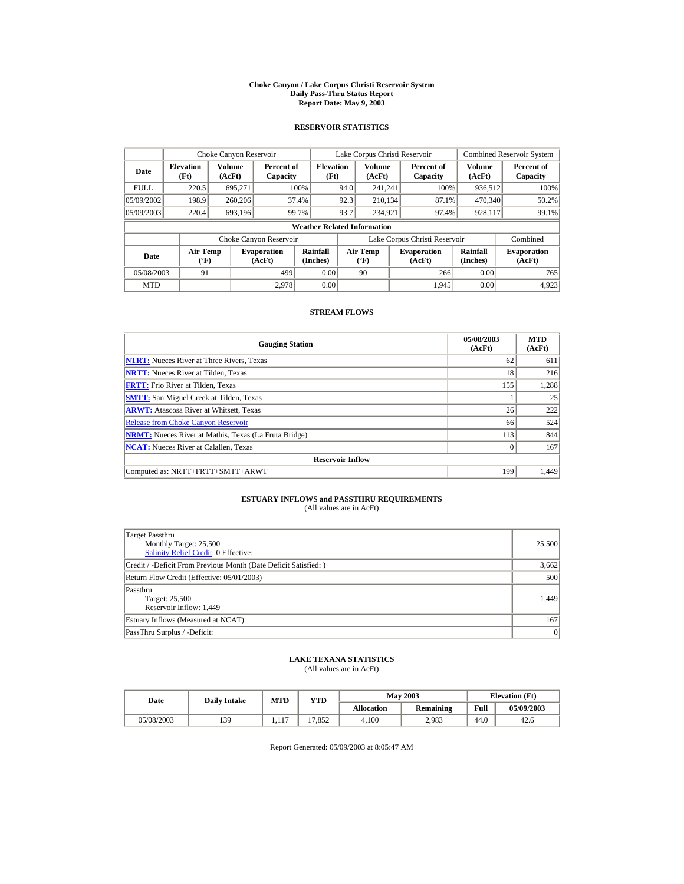#### **Choke Canyon / Lake Corpus Christi Reservoir System Daily Pass-Thru Status Report Report Date: May 9, 2003**

## **RESERVOIR STATISTICS**

|             | Choke Canyon Reservoir                      |                  |                              |                          |      | Lake Corpus Christi Reservoir    |                                                      |                               |                  | Combined Reservoir System    |  |  |
|-------------|---------------------------------------------|------------------|------------------------------|--------------------------|------|----------------------------------|------------------------------------------------------|-------------------------------|------------------|------------------------------|--|--|
| Date        | <b>Elevation</b><br>(Ft)                    | Volume<br>(AcFt) | Percent of<br>Capacity       | <b>Elevation</b><br>(Ft) |      | Volume<br>(AcFt)                 |                                                      | Percent of<br>Capacity        | Volume<br>(AcFt) | Percent of<br>Capacity       |  |  |
| <b>FULL</b> | 220.5                                       | 695.271          |                              | 100%                     | 94.0 | 241.241                          |                                                      | 100%                          | 936,512          | 100%                         |  |  |
| 05/09/2002  | 198.9                                       | 260,206          |                              | 37.4%                    | 92.3 | 210.134                          |                                                      | 87.1%                         | 470,340          | 50.2%                        |  |  |
| 05/09/2003  | 220.4                                       | 693,196          |                              | 99.7%                    | 93.7 | 234.921                          |                                                      | 97.4%                         | 928,117          | 99.1%                        |  |  |
|             | <b>Weather Related Information</b>          |                  |                              |                          |      |                                  |                                                      |                               |                  |                              |  |  |
|             |                                             |                  | Choke Canyon Reservoir       |                          |      |                                  |                                                      | Lake Corpus Christi Reservoir |                  | Combined                     |  |  |
| Date        | <b>Air Temp</b><br>$({}^{\circ}\mathrm{F})$ |                  | <b>Evaporation</b><br>(AcFt) | Rainfall<br>(Inches)     |      | <b>Air Temp</b><br>$(^{\circ}F)$ | Rainfall<br><b>Evaporation</b><br>(Inches)<br>(AcFt) |                               |                  | <b>Evaporation</b><br>(AcFt) |  |  |
| 05/08/2003  | 91                                          |                  | 499                          | 0.00                     |      | 90                               |                                                      | 266                           | 0.00             | 765                          |  |  |
| <b>MTD</b>  |                                             |                  | 2.978                        | 0.00                     |      |                                  |                                                      | 1,945                         | 0.00             | 4,923                        |  |  |

## **STREAM FLOWS**

| <b>Gauging Station</b>                                       | 05/08/2003<br>(AcFt) | <b>MTD</b><br>(AcFt) |
|--------------------------------------------------------------|----------------------|----------------------|
| <b>NTRT:</b> Nueces River at Three Rivers, Texas             | 62                   | 611                  |
| <b>NRTT:</b> Nueces River at Tilden, Texas                   | 18                   | 216                  |
| <b>FRTT:</b> Frio River at Tilden, Texas                     | 155                  | 1,288                |
| <b>SMTT:</b> San Miguel Creek at Tilden, Texas               |                      | 25                   |
| <b>ARWT:</b> Atascosa River at Whitsett, Texas               | 26                   | 222                  |
| <b>Release from Choke Canyon Reservoir</b>                   | 66                   | 524                  |
| <b>NRMT:</b> Nueces River at Mathis, Texas (La Fruta Bridge) | 113                  | 844                  |
| <b>NCAT:</b> Nueces River at Calallen, Texas                 | $\Omega$             | 167                  |
| <b>Reservoir Inflow</b>                                      |                      |                      |
| Computed as: NRTT+FRTT+SMTT+ARWT                             | 199                  | 1.449                |

# **ESTUARY INFLOWS and PASSTHRU REQUIREMENTS**<br>(All values are in AcFt)

| Target Passthru<br>Monthly Target: 25,500<br>Salinity Relief Credit: 0 Effective: | 25,500 |
|-----------------------------------------------------------------------------------|--------|
| Credit / -Deficit From Previous Month (Date Deficit Satisfied: )                  | 3,662  |
| Return Flow Credit (Effective: 05/01/2003)                                        | 500    |
| Passthru<br>Target: 25,500<br>Reservoir Inflow: 1,449                             | 1.449  |
| Estuary Inflows (Measured at NCAT)                                                | 167    |
| PassThru Surplus / -Deficit:                                                      | 0      |

## **LAKE TEXANA STATISTICS**

(All values are in AcFt)

| Date |            | MTD<br>YTD<br><b>Daily Intake</b> |                 |       | <b>May 2003</b>   | <b>Elevation</b> (Ft) |      |            |
|------|------------|-----------------------------------|-----------------|-------|-------------------|-----------------------|------|------------|
|      |            |                                   |                 |       | <b>Allocation</b> | <b>Remaining</b>      | Full | 05/09/2003 |
|      | 05/08/2003 | 139                               | $\sim$<br>1.111 | '.852 | 4.100             | 2.983                 | 44.0 | 42.6       |

Report Generated: 05/09/2003 at 8:05:47 AM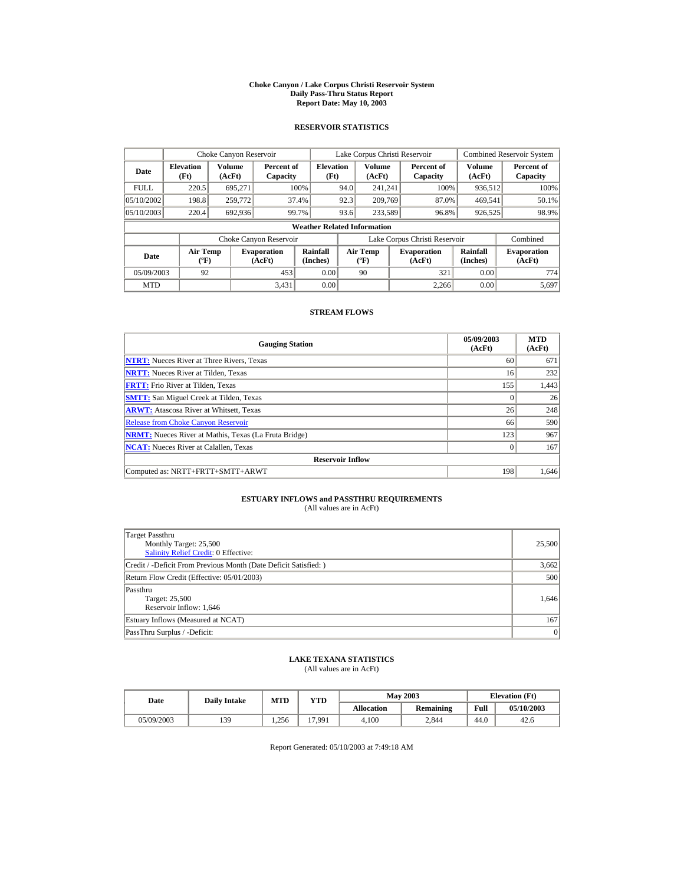#### **Choke Canyon / Lake Corpus Christi Reservoir System Daily Pass-Thru Status Report Report Date: May 10, 2003**

## **RESERVOIR STATISTICS**

|             | Choke Canyon Reservoir                      |                  |                              |                          | Lake Corpus Christi Reservoir |                                  |  |                               |                      | Combined Reservoir System    |  |  |
|-------------|---------------------------------------------|------------------|------------------------------|--------------------------|-------------------------------|----------------------------------|--|-------------------------------|----------------------|------------------------------|--|--|
| Date        | <b>Elevation</b><br>(Ft)                    | Volume<br>(AcFt) | Percent of<br>Capacity       | <b>Elevation</b><br>(Ft) |                               | Volume<br>(AcFt)                 |  | Percent of<br>Capacity        | Volume<br>(AcFt)     | Percent of<br>Capacity       |  |  |
| <b>FULL</b> | 220.5                                       | 695.271          |                              | 100%                     | 94.0                          | 241.241                          |  | 100%                          | 936,512              | 100%                         |  |  |
| 05/10/2002  | 198.8                                       | 259,772          |                              | 37.4%                    | 92.3                          | 209,769                          |  | 87.0%                         | 469.541              | 50.1%                        |  |  |
| 05/10/2003  | 220.4                                       | 692.936          |                              | 99.7%                    | 93.6                          | 233.589                          |  | 96.8%                         | 926,525              | 98.9%                        |  |  |
|             | <b>Weather Related Information</b>          |                  |                              |                          |                               |                                  |  |                               |                      |                              |  |  |
|             |                                             |                  | Choke Canyon Reservoir       |                          |                               |                                  |  | Lake Corpus Christi Reservoir |                      | Combined                     |  |  |
| Date        | <b>Air Temp</b><br>$({}^{\circ}\mathrm{F})$ |                  | <b>Evaporation</b><br>(AcFt) | Rainfall<br>(Inches)     |                               | <b>Air Temp</b><br>$(^{\circ}F)$ |  | <b>Evaporation</b><br>(AcFt)  | Rainfall<br>(Inches) | <b>Evaporation</b><br>(AcFt) |  |  |
| 05/09/2003  | 92                                          |                  | 453                          | 0.00                     |                               | 90                               |  | 321                           | 0.00                 | 774                          |  |  |
| <b>MTD</b>  |                                             |                  | 3.431                        | 0.00                     |                               |                                  |  | 2.266                         | 0.00                 | 5,697                        |  |  |

## **STREAM FLOWS**

| <b>Gauging Station</b>                                       | 05/09/2003<br>(AcFt) | <b>MTD</b><br>(AcFt) |
|--------------------------------------------------------------|----------------------|----------------------|
| <b>NTRT:</b> Nueces River at Three Rivers, Texas             | 60                   | 671                  |
| <b>NRTT:</b> Nueces River at Tilden, Texas                   | 16                   | 232                  |
| <b>FRTT:</b> Frio River at Tilden, Texas                     | 155                  | 1,443                |
| <b>SMTT:</b> San Miguel Creek at Tilden, Texas               | $\Omega$             | 26                   |
| <b>ARWT:</b> Atascosa River at Whitsett, Texas               | 26                   | 248                  |
| <b>Release from Choke Canyon Reservoir</b>                   | 66                   | 590                  |
| <b>NRMT:</b> Nueces River at Mathis, Texas (La Fruta Bridge) | 123                  | 967                  |
| <b>NCAT:</b> Nueces River at Calallen, Texas                 | $\Omega$             | 167                  |
| <b>Reservoir Inflow</b>                                      |                      |                      |
| Computed as: NRTT+FRTT+SMTT+ARWT                             | 198                  | 1.646                |

# **ESTUARY INFLOWS and PASSTHRU REQUIREMENTS**<br>(All values are in AcFt)

| Target Passthru<br>Monthly Target: 25,500<br>Salinity Relief Credit: 0 Effective: | 25,500 |
|-----------------------------------------------------------------------------------|--------|
| Credit / -Deficit From Previous Month (Date Deficit Satisfied: )                  | 3,662  |
| Return Flow Credit (Effective: 05/01/2003)                                        | 500    |
| Passthru<br>Target: 25,500<br>Reservoir Inflow: 1,646                             | 1.646  |
| Estuary Inflows (Measured at NCAT)                                                | 167    |
| PassThru Surplus / -Deficit:                                                      | 0      |

## **LAKE TEXANA STATISTICS**

(All values are in AcFt)

| Date       | <b>Daily Intake</b> | MTD   | YTD   |                   | <b>May 2003</b>  | <b>Elevation</b> (Ft) |            |
|------------|---------------------|-------|-------|-------------------|------------------|-----------------------|------------|
|            |                     |       |       | <b>Allocation</b> | <b>Remaining</b> | Full                  | 05/10/2003 |
| 05/09/2003 | 139                 | . 256 | 7.991 | 4.100             | 2.844            | 44.0                  | 42.6       |

Report Generated: 05/10/2003 at 7:49:18 AM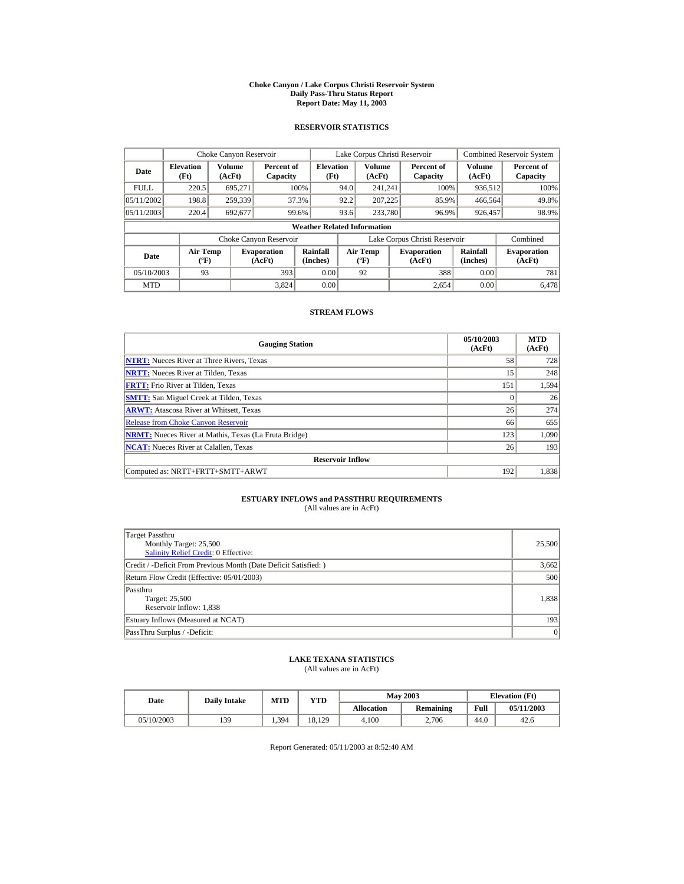#### **Choke Canyon / Lake Corpus Christi Reservoir System Daily Pass-Thru Status Report Report Date: May 11, 2003**

## **RESERVOIR STATISTICS**

|             | Choke Canyon Reservoir                      |                  |                              |                          | Lake Corpus Christi Reservoir |                                           |  |                               |                      | <b>Combined Reservoir System</b> |  |  |
|-------------|---------------------------------------------|------------------|------------------------------|--------------------------|-------------------------------|-------------------------------------------|--|-------------------------------|----------------------|----------------------------------|--|--|
| Date        | <b>Elevation</b><br>(Ft)                    | Volume<br>(AcFt) | Percent of<br>Capacity       | <b>Elevation</b><br>(Ft) |                               | Volume<br>(AcFt)                          |  | Percent of<br>Capacity        | Volume<br>(AcFt)     | Percent of<br>Capacity           |  |  |
| <b>FULL</b> | 220.5                                       | 695.271          |                              | 100%                     | 94.0                          | 241.241                                   |  | 100%                          | 936,512              | 100%                             |  |  |
| 05/11/2002  | 198.8                                       | 259,339          |                              | 37.3%                    | 92.2                          | 207.225                                   |  | 85.9%                         | 466,564              | 49.8%                            |  |  |
| 05/11/2003  | 220.4                                       | 692,677          |                              | 99.6%                    | 93.6                          | 233,780                                   |  | 96.9%                         | 926,457              | 98.9%                            |  |  |
|             | <b>Weather Related Information</b>          |                  |                              |                          |                               |                                           |  |                               |                      |                                  |  |  |
|             |                                             |                  | Choke Canyon Reservoir       |                          |                               |                                           |  | Lake Corpus Christi Reservoir |                      | Combined                         |  |  |
| Date        | <b>Air Temp</b><br>$({}^{\circ}\mathrm{F})$ |                  | <b>Evaporation</b><br>(AcFt) | Rainfall<br>(Inches)     |                               | <b>Air Temp</b><br>$({}^{\circ}\text{F})$ |  | <b>Evaporation</b><br>(AcFt)  | Rainfall<br>(Inches) | <b>Evaporation</b><br>(AcFt)     |  |  |
| 05/10/2003  | 93                                          |                  | 393                          | 0.00                     |                               | 92                                        |  | 388                           | 0.00                 | 781                              |  |  |
| <b>MTD</b>  |                                             |                  | 3.824                        | 0.00                     |                               |                                           |  | 2.654                         | 0.00                 | 6.478                            |  |  |

## **STREAM FLOWS**

| <b>Gauging Station</b>                                       | 05/10/2003<br>(AcFt) | <b>MTD</b><br>(AcFt) |
|--------------------------------------------------------------|----------------------|----------------------|
| <b>NTRT:</b> Nueces River at Three Rivers, Texas             | 58                   | 728                  |
| <b>NRTT:</b> Nueces River at Tilden, Texas                   | 15                   | 248                  |
| <b>FRTT:</b> Frio River at Tilden, Texas                     | 151                  | 1.594                |
| <b>SMTT:</b> San Miguel Creek at Tilden, Texas               | $\Omega$             | 26                   |
| <b>ARWT:</b> Atascosa River at Whitsett, Texas               | 26                   | 274                  |
| <b>Release from Choke Canyon Reservoir</b>                   | 66                   | 655                  |
| <b>NRMT:</b> Nueces River at Mathis, Texas (La Fruta Bridge) | 123                  | 1.090                |
| <b>NCAT:</b> Nueces River at Calallen. Texas                 | 26                   | 193                  |
| <b>Reservoir Inflow</b>                                      |                      |                      |
| Computed as: NRTT+FRTT+SMTT+ARWT                             | 192                  | 1,838                |

# **ESTUARY INFLOWS and PASSTHRU REQUIREMENTS**<br>(All values are in AcFt)

| Target Passthru<br>Monthly Target: 25,500<br>Salinity Relief Credit: 0 Effective: | 25,500 |
|-----------------------------------------------------------------------------------|--------|
| Credit / -Deficit From Previous Month (Date Deficit Satisfied: )                  | 3,662  |
| Return Flow Credit (Effective: 05/01/2003)                                        | 500    |
| Passthru<br>Target: 25,500<br>Reservoir Inflow: 1,838                             | 1.838  |
| Estuary Inflows (Measured at NCAT)                                                | 193    |
| PassThru Surplus / -Deficit:                                                      | 0      |

## **LAKE TEXANA STATISTICS**

(All values are in AcFt)

| Date       | <b>Daily Intake</b> | <b>MTD</b> | YTD    |                   | <b>May 2003</b> | <b>Elevation</b> (Ft) |            |
|------------|---------------------|------------|--------|-------------------|-----------------|-----------------------|------------|
|            |                     |            |        | <b>Allocation</b> | Remaining       | Full                  | 05/11/2003 |
| 05/10/2003 | 139                 | 1.394      | 18.129 | 4.100             | 2.706           | 44.0                  | 42.6       |

Report Generated: 05/11/2003 at 8:52:40 AM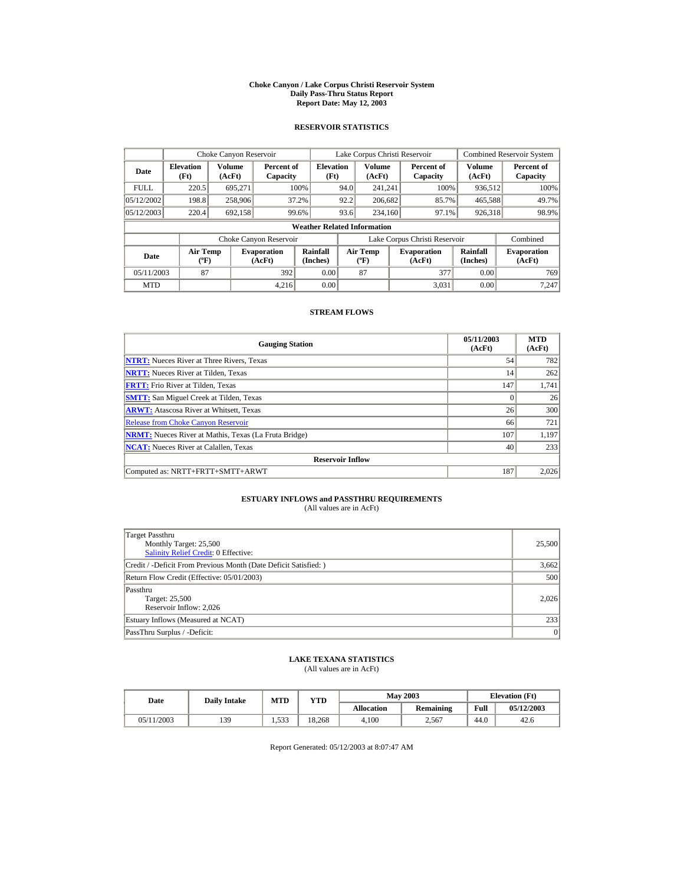#### **Choke Canyon / Lake Corpus Christi Reservoir System Daily Pass-Thru Status Report Report Date: May 12, 2003**

## **RESERVOIR STATISTICS**

|             | Choke Canyon Reservoir                      |                  |                              |                          | Lake Corpus Christi Reservoir |                                           |  |                               |                      | Combined Reservoir System    |  |  |
|-------------|---------------------------------------------|------------------|------------------------------|--------------------------|-------------------------------|-------------------------------------------|--|-------------------------------|----------------------|------------------------------|--|--|
| Date        | <b>Elevation</b><br>(Ft)                    | Volume<br>(AcFt) | Percent of<br>Capacity       | <b>Elevation</b><br>(Ft) |                               | Volume<br>(AcFt)                          |  | Percent of<br>Capacity        | Volume<br>(AcFt)     | Percent of<br>Capacity       |  |  |
| <b>FULL</b> | 220.5                                       | 695.271          |                              | 100%                     | 94.0                          | 241.241                                   |  | 100%                          | 936,512              | 100%                         |  |  |
| 05/12/2002  | 198.8                                       | 258,906          |                              | 37.2%                    | 92.2                          | 206,682                                   |  | 85.7%                         | 465,588              | 49.7%                        |  |  |
| 05/12/2003  | 220.4                                       | 692.158          |                              | 99.6%                    | 93.6                          | 234,160                                   |  | 97.1%                         | 926,318              | 98.9%                        |  |  |
|             | <b>Weather Related Information</b>          |                  |                              |                          |                               |                                           |  |                               |                      |                              |  |  |
|             |                                             |                  | Choke Canyon Reservoir       |                          |                               |                                           |  | Lake Corpus Christi Reservoir |                      | Combined                     |  |  |
| Date        | <b>Air Temp</b><br>$({}^{\circ}\mathrm{F})$ |                  | <b>Evaporation</b><br>(AcFt) | Rainfall<br>(Inches)     |                               | <b>Air Temp</b><br>$({}^{\circ}\text{F})$ |  | <b>Evaporation</b><br>(AcFt)  | Rainfall<br>(Inches) | <b>Evaporation</b><br>(AcFt) |  |  |
| 05/11/2003  | 87                                          |                  | 392                          | 0.00                     |                               | 87                                        |  | 377                           | 0.00                 | 769                          |  |  |
| <b>MTD</b>  |                                             |                  | 4.216                        | 0.00                     |                               |                                           |  | 3.031                         | 0.00                 | 7.247                        |  |  |

## **STREAM FLOWS**

| <b>Gauging Station</b>                                       | 05/11/2003<br>(AcFt) | <b>MTD</b><br>(AcFt) |
|--------------------------------------------------------------|----------------------|----------------------|
| <b>NTRT:</b> Nueces River at Three Rivers, Texas             | 54                   | 782                  |
| <b>NRTT:</b> Nueces River at Tilden, Texas                   | 14                   | 262                  |
| <b>FRTT:</b> Frio River at Tilden, Texas                     | 147                  | 1,741                |
| <b>SMTT:</b> San Miguel Creek at Tilden, Texas               | $\Omega$             | 26                   |
| <b>ARWT:</b> Atascosa River at Whitsett, Texas               | 26                   | 300                  |
| <b>Release from Choke Canyon Reservoir</b>                   | 66                   | 721                  |
| <b>NRMT:</b> Nueces River at Mathis, Texas (La Fruta Bridge) | 107                  | 1.197                |
| <b>NCAT:</b> Nueces River at Calallen. Texas                 | 40                   | 233                  |
| <b>Reservoir Inflow</b>                                      |                      |                      |
| Computed as: NRTT+FRTT+SMTT+ARWT                             | 187                  | 2,026                |

# **ESTUARY INFLOWS and PASSTHRU REQUIREMENTS**<br>(All values are in AcFt)

| Target Passthru<br>Monthly Target: 25,500<br>Salinity Relief Credit: 0 Effective: | 25,500 |
|-----------------------------------------------------------------------------------|--------|
| Credit / -Deficit From Previous Month (Date Deficit Satisfied: )                  | 3,662  |
| Return Flow Credit (Effective: 05/01/2003)                                        | 500    |
| Passthru<br>Target: 25,500<br>Reservoir Inflow: 2,026                             | 2.026  |
| Estuary Inflows (Measured at NCAT)                                                | 233    |
| PassThru Surplus / -Deficit:                                                      | 0      |

## **LAKE TEXANA STATISTICS**

(All values are in AcFt)

| Date       | <b>Daily Intake</b> | MTD   | $_{\rm VTD}$ |            | <b>May 2003</b> | <b>Elevation</b> (Ft) |            |
|------------|---------------------|-------|--------------|------------|-----------------|-----------------------|------------|
|            |                     |       |              | Allocation | Remaining       | Full                  | 05/12/2003 |
| 05/11/2003 | 139                 | 1.533 | 18.268       | 4.100      | 2.567           | 44.0                  | 42.6       |

Report Generated: 05/12/2003 at 8:07:47 AM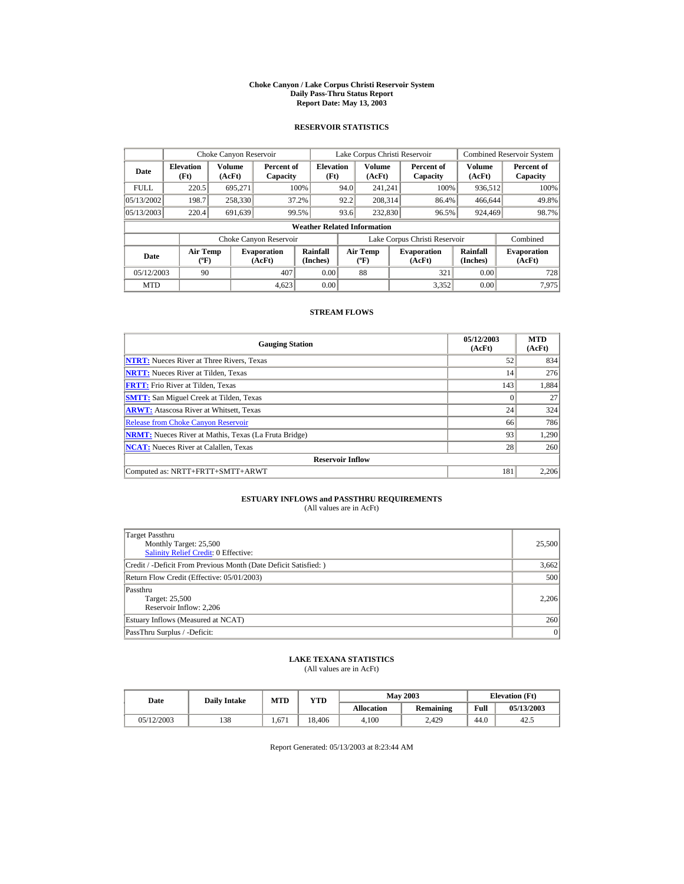#### **Choke Canyon / Lake Corpus Christi Reservoir System Daily Pass-Thru Status Report Report Date: May 13, 2003**

## **RESERVOIR STATISTICS**

|                                                      | Choke Canyon Reservoir                      |         |                              |                          |      | Lake Corpus Christi Reservoir             |  |                               |                      | Combined Reservoir System    |  |
|------------------------------------------------------|---------------------------------------------|---------|------------------------------|--------------------------|------|-------------------------------------------|--|-------------------------------|----------------------|------------------------------|--|
| Volume<br><b>Elevation</b><br>Date<br>(Ft)<br>(AcFt) |                                             |         | Percent of<br>Capacity       | <b>Elevation</b><br>(Ft) |      | Volume<br>(AcFt)                          |  | Percent of<br>Capacity        | Volume<br>(AcFt)     | Percent of<br>Capacity       |  |
| <b>FULL</b>                                          | 220.5                                       | 695.271 |                              | 100%                     | 94.0 | 241.241                                   |  | 100%                          | 936,512              | 100%                         |  |
| 05/13/2002                                           | 198.7                                       | 258,330 |                              | 37.2%                    | 92.2 | 208.314                                   |  | 86.4%                         | 466,644              | 49.8%                        |  |
| 05/13/2003                                           | 220.4                                       | 691,639 |                              | 99.5%                    | 93.6 | 232,830                                   |  | 96.5%                         | 924,469              | 98.7%                        |  |
|                                                      | <b>Weather Related Information</b>          |         |                              |                          |      |                                           |  |                               |                      |                              |  |
|                                                      |                                             |         | Choke Canyon Reservoir       |                          |      |                                           |  | Lake Corpus Christi Reservoir |                      | Combined                     |  |
| Date                                                 | <b>Air Temp</b><br>$({}^{\circ}\mathrm{F})$ |         | <b>Evaporation</b><br>(AcFt) | Rainfall<br>(Inches)     |      | <b>Air Temp</b><br>$({}^{\circ}\text{F})$ |  | <b>Evaporation</b><br>(AcFt)  | Rainfall<br>(Inches) | <b>Evaporation</b><br>(AcFt) |  |
| 05/12/2003                                           | 90                                          |         | 407                          | 0.00                     |      | 88                                        |  | 321                           | 0.00                 | 728                          |  |
| <b>MTD</b>                                           |                                             |         | 4.623                        | 0.00                     |      |                                           |  | 3,352                         | 0.00                 | 7.975                        |  |

## **STREAM FLOWS**

| <b>Gauging Station</b>                                       | 05/12/2003<br>(AcFt) | <b>MTD</b><br>(AcFt) |
|--------------------------------------------------------------|----------------------|----------------------|
| <b>NTRT:</b> Nueces River at Three Rivers, Texas             | 52                   | 834                  |
| <b>NRTT:</b> Nueces River at Tilden, Texas                   | 14                   | 276                  |
| <b>FRTT:</b> Frio River at Tilden, Texas                     | 143                  | 1.884                |
| <b>SMTT:</b> San Miguel Creek at Tilden, Texas               | $\Omega$             | 27                   |
| <b>ARWT:</b> Atascosa River at Whitsett, Texas               | 24                   | 324                  |
| <b>Release from Choke Canyon Reservoir</b>                   | 66                   | 786                  |
| <b>NRMT:</b> Nueces River at Mathis, Texas (La Fruta Bridge) | 93                   | 1.290                |
| <b>NCAT:</b> Nueces River at Calallen. Texas                 | 28                   | 260                  |
| <b>Reservoir Inflow</b>                                      |                      |                      |
| Computed as: NRTT+FRTT+SMTT+ARWT                             | 181                  | 2.206                |

# **ESTUARY INFLOWS and PASSTHRU REQUIREMENTS**<br>(All values are in AcFt)

| Target Passthru<br>Monthly Target: 25,500<br>Salinity Relief Credit: 0 Effective: | 25,500 |
|-----------------------------------------------------------------------------------|--------|
| Credit / -Deficit From Previous Month (Date Deficit Satisfied: )                  | 3,662  |
| Return Flow Credit (Effective: 05/01/2003)                                        | 500    |
| Passthru<br>Target: 25,500<br>Reservoir Inflow: 2,206                             | 2.206  |
| Estuary Inflows (Measured at NCAT)                                                | 260    |
| PassThru Surplus / -Deficit:                                                      | 0      |

## **LAKE TEXANA STATISTICS**

(All values are in AcFt)

| Date       | <b>Daily Intake</b> | <b>MTD</b> | YTD    |                   | <b>May 2003</b> |      | <b>Elevation</b> (Ft) |
|------------|---------------------|------------|--------|-------------------|-----------------|------|-----------------------|
|            |                     |            |        | <b>Allocation</b> | Remaining       | Full | 05/13/2003            |
| 05/12/2003 | 138                 | 1.671      | 18,406 | 4.100             | 2.429           | 44.0 | 42.5                  |

Report Generated: 05/13/2003 at 8:23:44 AM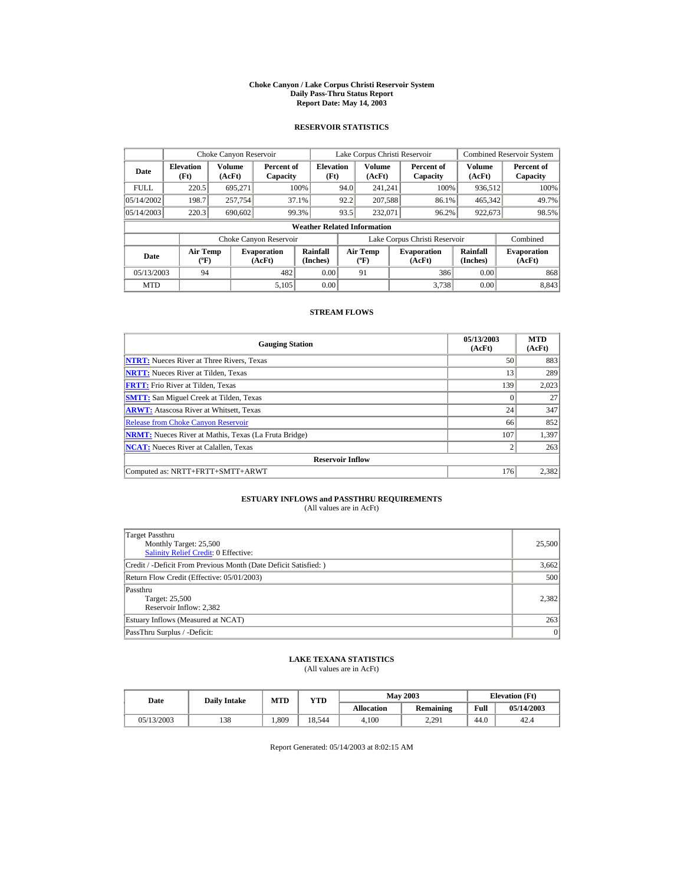#### **Choke Canyon / Lake Corpus Christi Reservoir System Daily Pass-Thru Status Report Report Date: May 14, 2003**

## **RESERVOIR STATISTICS**

|                                  | Choke Canyon Reservoir                      |                  |                              |                          |      | Lake Corpus Christi Reservoir    |  |                               |                      | <b>Combined Reservoir System</b> |  |
|----------------------------------|---------------------------------------------|------------------|------------------------------|--------------------------|------|----------------------------------|--|-------------------------------|----------------------|----------------------------------|--|
| <b>Elevation</b><br>Date<br>(Ft) |                                             | Volume<br>(AcFt) | Percent of<br>Capacity       | <b>Elevation</b><br>(Ft) |      | Volume<br>(AcFt)                 |  | Percent of<br>Capacity        | Volume<br>(AcFt)     | Percent of<br>Capacity           |  |
| <b>FULL</b>                      | 220.5                                       | 695.271          |                              | 100%                     | 94.0 | 241.241                          |  | 100%                          | 936,512              | 100%                             |  |
| 05/14/2002                       | 198.7                                       | 257,754          |                              | 37.1%                    | 92.2 | 207.588                          |  | 86.1%                         | 465,342              | 49.7%                            |  |
| 05/14/2003                       | 220.3                                       | 690,602          |                              | 99.3%                    | 93.5 | 232,071                          |  | 96.2%                         | 922,673              | 98.5%                            |  |
|                                  | <b>Weather Related Information</b>          |                  |                              |                          |      |                                  |  |                               |                      |                                  |  |
|                                  |                                             |                  | Choke Canyon Reservoir       |                          |      |                                  |  | Lake Corpus Christi Reservoir |                      | Combined                         |  |
| Date                             | <b>Air Temp</b><br>$({}^{\circ}\mathrm{F})$ |                  | <b>Evaporation</b><br>(AcFt) | Rainfall<br>(Inches)     |      | <b>Air Temp</b><br>$(^{\circ}F)$ |  | <b>Evaporation</b><br>(AcFt)  | Rainfall<br>(Inches) | <b>Evaporation</b><br>(AcFt)     |  |
| 05/13/2003                       | 94                                          |                  | 482                          | 0.00                     |      | 91                               |  | 386                           | 0.00                 | 868                              |  |
| <b>MTD</b>                       |                                             |                  | 5.105                        | 0.00                     |      |                                  |  | 3.738                         | 0.00                 | 8.843                            |  |

## **STREAM FLOWS**

| <b>Gauging Station</b>                                       | 05/13/2003<br>(AcFt) | <b>MTD</b><br>(AcFt) |
|--------------------------------------------------------------|----------------------|----------------------|
| <b>NTRT:</b> Nueces River at Three Rivers, Texas             | 50                   | 883                  |
| <b>NRTT:</b> Nueces River at Tilden, Texas                   | 13                   | 289                  |
| <b>FRTT:</b> Frio River at Tilden, Texas                     | 139                  | 2.023                |
| <b>SMTT:</b> San Miguel Creek at Tilden, Texas               | $\Omega$             | 27                   |
| <b>ARWT:</b> Atascosa River at Whitsett, Texas               | 24                   | 347                  |
| <b>Release from Choke Canyon Reservoir</b>                   | 66                   | 852                  |
| <b>NRMT:</b> Nueces River at Mathis, Texas (La Fruta Bridge) | 107                  | 1,397                |
| <b>NCAT:</b> Nueces River at Calallen, Texas                 | $\overline{c}$       | 263                  |
| <b>Reservoir Inflow</b>                                      |                      |                      |
| Computed as: NRTT+FRTT+SMTT+ARWT                             | 176                  | 2,382                |

# **ESTUARY INFLOWS and PASSTHRU REQUIREMENTS**<br>(All values are in AcFt)

| Target Passthru<br>Monthly Target: 25,500<br>Salinity Relief Credit: 0 Effective: | 25,500 |
|-----------------------------------------------------------------------------------|--------|
| Credit / -Deficit From Previous Month (Date Deficit Satisfied: )                  | 3,662  |
| Return Flow Credit (Effective: 05/01/2003)                                        | 500    |
| Passthru<br>Target: 25,500<br>Reservoir Inflow: 2,382                             | 2.382  |
| Estuary Inflows (Measured at NCAT)                                                | 263    |
| PassThru Surplus / -Deficit:                                                      | 0      |

## **LAKE TEXANA STATISTICS**

(All values are in AcFt)

| Date       | <b>Daily Intake</b> | <b>MTD</b> | YTD    |                   | <b>May 2003</b> |      | <b>Elevation</b> (Ft) |
|------------|---------------------|------------|--------|-------------------|-----------------|------|-----------------------|
|            |                     |            |        | <b>Allocation</b> | Remaining       | Full | 05/14/2003            |
| 05/13/2003 | 138                 | .309       | 18.544 | 4.100             | 2.291           | 44.0 | 42.4                  |

Report Generated: 05/14/2003 at 8:02:15 AM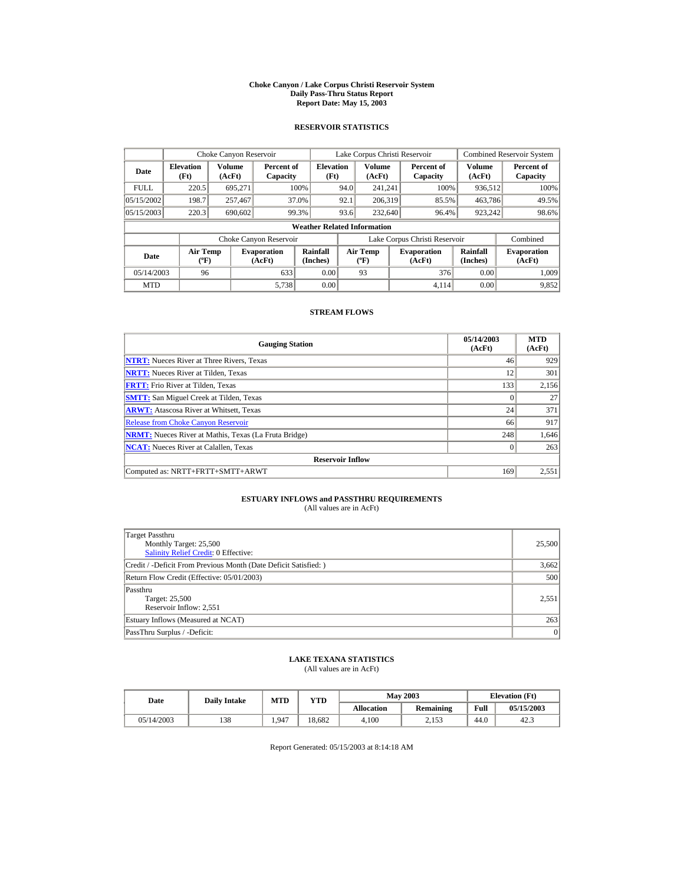#### **Choke Canyon / Lake Corpus Christi Reservoir System Daily Pass-Thru Status Report Report Date: May 15, 2003**

## **RESERVOIR STATISTICS**

|                                  | Choke Canyon Reservoir                      |                  |                              |                                    |      | Lake Corpus Christi Reservoir             |                               |                      | <b>Combined Reservoir System</b> |
|----------------------------------|---------------------------------------------|------------------|------------------------------|------------------------------------|------|-------------------------------------------|-------------------------------|----------------------|----------------------------------|
| <b>Elevation</b><br>Date<br>(Ft) |                                             | Volume<br>(AcFt) | Percent of<br>Capacity       | <b>Elevation</b><br>(Ft)           |      | Volume<br>(AcFt)                          | Percent of<br>Capacity        | Volume<br>(AcFt)     | Percent of<br>Capacity           |
| <b>FULL</b>                      | 220.5                                       | 695,271          |                              | 100%                               | 94.0 | 241.241                                   | 100%                          | 936,512              | 100%                             |
| 05/15/2002                       | 198.7                                       | 257,467          |                              | 37.0%                              | 92.1 | 206.319                                   | 85.5%                         | 463,786              | 49.5%                            |
| 05/15/2003                       | 220.3                                       | 690,602          |                              | 99.3%                              | 93.6 | 232,640                                   | 96.4%                         | 923,242              | 98.6%                            |
|                                  |                                             |                  |                              | <b>Weather Related Information</b> |      |                                           |                               |                      |                                  |
|                                  |                                             |                  | Choke Canyon Reservoir       |                                    |      |                                           | Lake Corpus Christi Reservoir |                      | Combined                         |
| Date                             | <b>Air Temp</b><br>$({}^{\circ}\mathrm{F})$ |                  | <b>Evaporation</b><br>(AcFt) | Rainfall<br>(Inches)               |      | <b>Air Temp</b><br>$({}^{\circ}\text{F})$ | <b>Evaporation</b><br>(AcFt)  | Rainfall<br>(Inches) | <b>Evaporation</b><br>(AcFt)     |
| 05/14/2003                       | 96                                          |                  | 633                          | 0.00                               |      | 93                                        | 376                           | 0.00                 | 1.009                            |
| <b>MTD</b>                       |                                             |                  | 5,738                        | 0.00                               |      |                                           | 4.114                         | 0.00                 | 9,852                            |

## **STREAM FLOWS**

| <b>Gauging Station</b>                                       | 05/14/2003<br>(AcFt) | <b>MTD</b><br>(AcFt) |
|--------------------------------------------------------------|----------------------|----------------------|
| <b>NTRT:</b> Nueces River at Three Rivers, Texas             | 46                   | 929                  |
| <b>NRTT:</b> Nueces River at Tilden, Texas                   | 12                   | 301                  |
| <b>FRTT:</b> Frio River at Tilden, Texas                     | 133                  | 2.156                |
| <b>SMTT:</b> San Miguel Creek at Tilden, Texas               | $\Omega$             | 27                   |
| <b>ARWT:</b> Atascosa River at Whitsett, Texas               | 24                   | 371                  |
| <b>Release from Choke Canyon Reservoir</b>                   | 66                   | 917                  |
| <b>NRMT:</b> Nueces River at Mathis, Texas (La Fruta Bridge) | 248                  | 1,646                |
| <b>NCAT:</b> Nueces River at Calallen, Texas                 | $\Omega$             | 263                  |
| <b>Reservoir Inflow</b>                                      |                      |                      |
| Computed as: NRTT+FRTT+SMTT+ARWT                             | 169                  | 2,551                |

# **ESTUARY INFLOWS and PASSTHRU REQUIREMENTS**<br>(All values are in AcFt)

| Target Passthru<br>Monthly Target: 25,500<br>Salinity Relief Credit: 0 Effective: | 25,500    |
|-----------------------------------------------------------------------------------|-----------|
| Credit / -Deficit From Previous Month (Date Deficit Satisfied:)                   | 3,662     |
| Return Flow Credit (Effective: 05/01/2003)                                        | 500       |
| Passthru<br>Target: 25,500<br>Reservoir Inflow: 2,551                             | 2,551     |
| Estuary Inflows (Measured at NCAT)                                                | 263       |
| PassThru Surplus / -Deficit:                                                      | $\vert$ 0 |

## **LAKE TEXANA STATISTICS**

(All values are in AcFt)

| Date       | <b>Daily Intake</b> | MTD   | YTD    |                   | <b>May 2003</b>  | <b>Elevation</b> (Ft) |            |
|------------|---------------------|-------|--------|-------------------|------------------|-----------------------|------------|
|            |                     |       |        | <b>Allocation</b> | <b>Remaining</b> | Full                  | 05/15/2003 |
| 05/14/2003 | 138                 | 1.947 | 18.682 | 4.100             | 2.153            | 44.0                  | 42.3       |

Report Generated: 05/15/2003 at 8:14:18 AM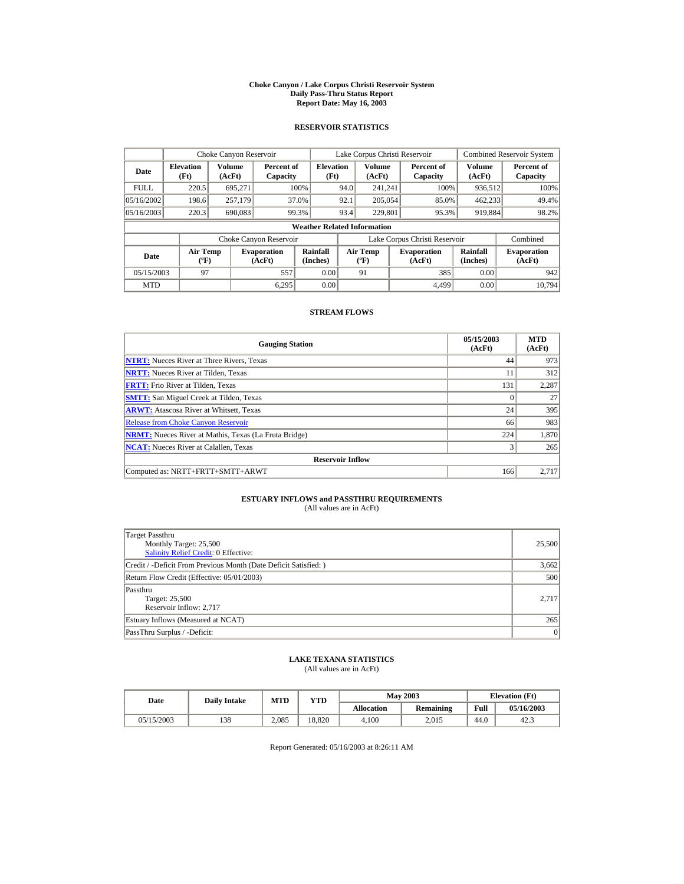#### **Choke Canyon / Lake Corpus Christi Reservoir System Daily Pass-Thru Status Report Report Date: May 16, 2003**

## **RESERVOIR STATISTICS**

|                                                      | Choke Canyon Reservoir |                              |                        |                                    |      | Lake Corpus Christi Reservoir |                               |                              | Combined Reservoir System |
|------------------------------------------------------|------------------------|------------------------------|------------------------|------------------------------------|------|-------------------------------|-------------------------------|------------------------------|---------------------------|
| Volume<br><b>Elevation</b><br>Date<br>(Ft)<br>(AcFt) |                        |                              | Percent of<br>Capacity | <b>Elevation</b><br>(Ft)           |      | Volume<br>(AcFt)              | Percent of<br>Capacity        | Volume<br>(AcFt)             | Percent of<br>Capacity    |
| <b>FULL</b>                                          | 220.5                  | 695.271                      |                        | 100%                               | 94.0 | 241.241                       | 100%                          | 936,512                      | 100%                      |
| 05/16/2002                                           | 198.6                  | 257,179                      |                        | 37.0%                              | 92.1 | 205,054                       | 85.0%                         | 462,233                      | 49.4%                     |
| 05/16/2003                                           | 220.3                  | 690,083                      |                        | 99.3%                              | 93.4 | 229,801                       | 95.3%                         | 919.884                      | 98.2%                     |
|                                                      |                        |                              |                        | <b>Weather Related Information</b> |      |                               |                               |                              |                           |
|                                                      |                        |                              | Choke Canyon Reservoir |                                    |      |                               | Lake Corpus Christi Reservoir |                              | Combined                  |
| <b>Air Temp</b><br>Date<br>$({}^{\circ}\mathrm{F})$  |                        | <b>Evaporation</b><br>(AcFt) | Rainfall<br>(Inches)   | <b>Air Temp</b><br>$(^{\circ}F)$   |      | <b>Evaporation</b><br>(AcFt)  | Rainfall<br>(Inches)          | <b>Evaporation</b><br>(AcFt) |                           |
| 05/15/2003                                           | 97                     |                              | 557                    | 0.00                               |      | 91                            | 385                           | 0.00                         | 942                       |
| <b>MTD</b>                                           |                        |                              | 6.295                  | 0.00                               |      |                               | 4.499                         | 0.00                         | 10.794                    |

## **STREAM FLOWS**

| <b>Gauging Station</b>                                       | 05/15/2003<br>(AcFt) | <b>MTD</b><br>(AcFt) |
|--------------------------------------------------------------|----------------------|----------------------|
| <b>NTRT:</b> Nueces River at Three Rivers, Texas             | 44                   | 973                  |
| <b>NRTT:</b> Nueces River at Tilden, Texas                   | 11                   | 312                  |
| <b>FRTT:</b> Frio River at Tilden, Texas                     | 131                  | 2,287                |
| <b>SMTT:</b> San Miguel Creek at Tilden, Texas               | $\Omega$             | 27                   |
| <b>ARWT:</b> Atascosa River at Whitsett, Texas               | 24                   | 395                  |
| <b>Release from Choke Canyon Reservoir</b>                   | 66                   | 983                  |
| <b>NRMT:</b> Nueces River at Mathis, Texas (La Fruta Bridge) | 224                  | 1.870                |
| <b>NCAT:</b> Nueces River at Calallen. Texas                 | 3                    | 265                  |
| <b>Reservoir Inflow</b>                                      |                      |                      |
| Computed as: NRTT+FRTT+SMTT+ARWT                             | 166                  | 2.717                |

# **ESTUARY INFLOWS and PASSTHRU REQUIREMENTS**<br>(All values are in AcFt)

| Target Passthru<br>Monthly Target: 25,500<br><b>Salinity Relief Credit: 0 Effective:</b> | 25,500 |
|------------------------------------------------------------------------------------------|--------|
| Credit / -Deficit From Previous Month (Date Deficit Satisfied: )                         | 3,662  |
| Return Flow Credit (Effective: 05/01/2003)                                               | 500    |
| Passthru<br>Target: 25,500<br>Reservoir Inflow: 2,717                                    | 2.717  |
| Estuary Inflows (Measured at NCAT)                                                       | 265    |
| PassThru Surplus / -Deficit:                                                             | 0      |

## **LAKE TEXANA STATISTICS**

(All values are in AcFt)

| Date       | <b>Daily Intake</b> | <b>MTD</b> | YTD    | <b>May 2003</b>   |           | <b>Elevation</b> (Ft) |            |
|------------|---------------------|------------|--------|-------------------|-----------|-----------------------|------------|
|            |                     |            |        | <b>Allocation</b> | Remaining | Full                  | 05/16/2003 |
| 05/15/2003 | 138                 | 2.085      | 18.820 | 4.100             | 2.015     | 44.0                  | 42.3       |

Report Generated: 05/16/2003 at 8:26:11 AM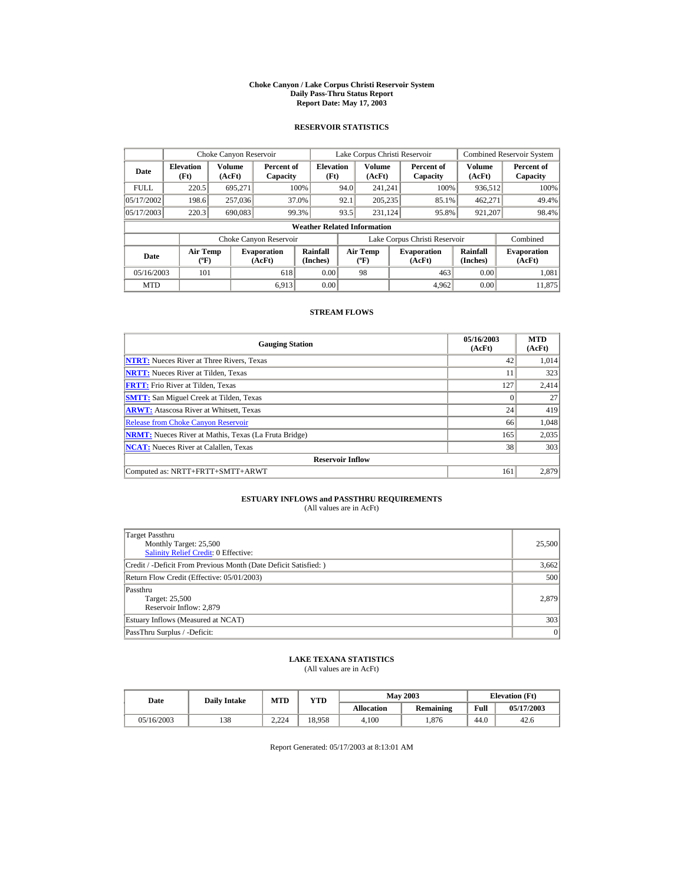#### **Choke Canyon / Lake Corpus Christi Reservoir System Daily Pass-Thru Status Report Report Date: May 17, 2003**

## **RESERVOIR STATISTICS**

|                                                                                     | Choke Canyon Reservoir |                  |                        |                                                    |                                           | Lake Corpus Christi Reservoir |                               |                              | <b>Combined Reservoir System</b> |
|-------------------------------------------------------------------------------------|------------------------|------------------|------------------------|----------------------------------------------------|-------------------------------------------|-------------------------------|-------------------------------|------------------------------|----------------------------------|
| <b>Elevation</b><br>Date<br>(Ft)                                                    |                        | Volume<br>(AcFt) |                        | <b>Elevation</b><br>Percent of<br>(Ft)<br>Capacity |                                           | <b>Volume</b><br>(AcFt)       | Percent of<br>Capacity        | Volume<br>(AcFt)             | Percent of<br>Capacity           |
| <b>FULL</b>                                                                         | 220.5                  | 695,271          |                        | 100%                                               | 94.0                                      | 241.241                       | 100%                          | 936,512                      | 100%                             |
| 05/17/2002                                                                          | 198.6                  | 257,036          |                        | 37.0%                                              | 92.1                                      | 205,235                       | 85.1%                         | 462,271                      | 49.4%                            |
| 05/17/2003                                                                          | 220.3                  | 690,083          |                        | 99.3%                                              | 93.5                                      | 231.124                       | 95.8%                         | 921,207                      | 98.4%                            |
|                                                                                     |                        |                  |                        | <b>Weather Related Information</b>                 |                                           |                               |                               |                              |                                  |
|                                                                                     |                        |                  | Choke Canyon Reservoir |                                                    |                                           |                               | Lake Corpus Christi Reservoir |                              | Combined                         |
| <b>Air Temp</b><br><b>Evaporation</b><br>Date<br>$({}^{\circ}\mathrm{F})$<br>(AcFt) |                        |                  | Rainfall<br>(Inches)   |                                                    | <b>Air Temp</b><br>$({}^{\circ}\text{F})$ | <b>Evaporation</b><br>(AcFt)  | Rainfall<br>(Inches)          | <b>Evaporation</b><br>(AcFt) |                                  |
| 101<br>05/16/2003<br>618                                                            |                        |                  | 0.00                   |                                                    | 98                                        | 463                           | 0.00                          | 1.081                        |                                  |
| <b>MTD</b>                                                                          |                        |                  | 6.913                  | 0.00                                               |                                           |                               | 4,962                         | 0.00                         | 11.875                           |

## **STREAM FLOWS**

| <b>Gauging Station</b>                                       | 05/16/2003<br>(AcFt) | <b>MTD</b><br>(AcFt) |
|--------------------------------------------------------------|----------------------|----------------------|
| <b>NTRT:</b> Nueces River at Three Rivers, Texas             | 42                   | 1.014                |
| <b>NRTT:</b> Nueces River at Tilden, Texas                   | 11                   | 323                  |
| <b>FRTT:</b> Frio River at Tilden, Texas                     | 127                  | 2,414                |
| <b>SMTT:</b> San Miguel Creek at Tilden, Texas               | $\Omega$             | 27                   |
| <b>ARWT:</b> Atascosa River at Whitsett, Texas               | 24                   | 419                  |
| <b>Release from Choke Canyon Reservoir</b>                   | 66                   | 1,048                |
| <b>NRMT:</b> Nueces River at Mathis, Texas (La Fruta Bridge) | 165                  | 2,035                |
| <b>NCAT:</b> Nueces River at Calallen, Texas                 | 38                   | 303                  |
| <b>Reservoir Inflow</b>                                      |                      |                      |
| Computed as: NRTT+FRTT+SMTT+ARWT                             | 161                  | 2.879                |

# **ESTUARY INFLOWS and PASSTHRU REQUIREMENTS**<br>(All values are in AcFt)

| Target Passthru<br>Monthly Target: 25,500<br>Salinity Relief Credit: 0 Effective: | 25,500 |
|-----------------------------------------------------------------------------------|--------|
| Credit / -Deficit From Previous Month (Date Deficit Satisfied: )                  | 3,662  |
| Return Flow Credit (Effective: 05/01/2003)                                        | 500    |
| Passthru<br>Target: 25,500<br>Reservoir Inflow: 2,879                             | 2.879  |
| Estuary Inflows (Measured at NCAT)                                                | 303    |
| PassThru Surplus / -Deficit:                                                      | 0      |

## **LAKE TEXANA STATISTICS**

(All values are in AcFt)

| Date       | <b>Daily Intake</b> | <b>MTD</b><br>YTD |        |                   | <b>May 2003</b> | <b>Elevation</b> (Ft) |            |
|------------|---------------------|-------------------|--------|-------------------|-----------------|-----------------------|------------|
|            |                     |                   |        | <b>Allocation</b> | Remaining       | Full                  | 05/17/2003 |
| 05/16/2003 | 138                 | 2.224             | 18.958 | 4.100             | .876            | 44.0                  | 42.6       |

Report Generated: 05/17/2003 at 8:13:01 AM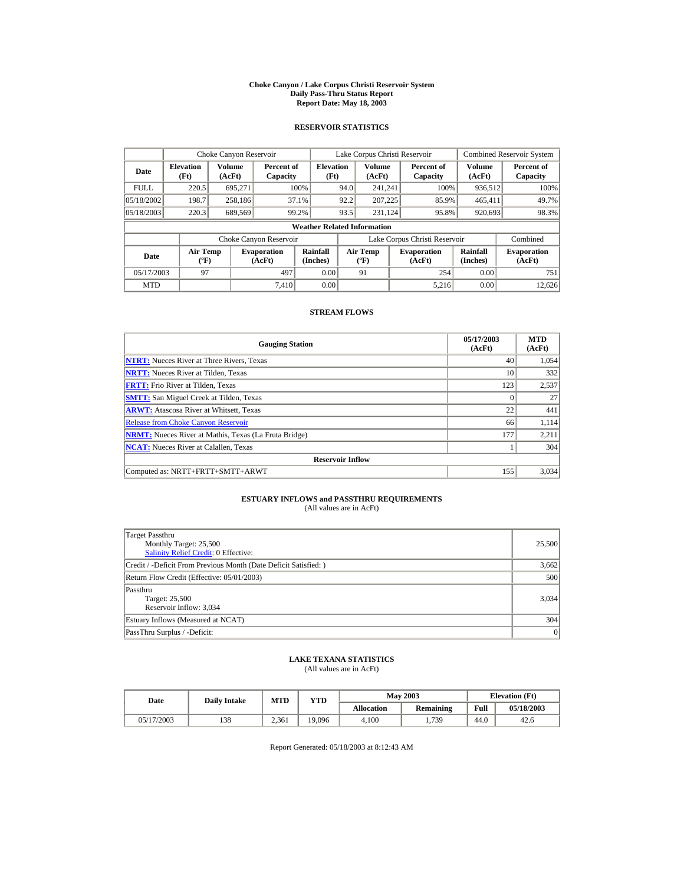#### **Choke Canyon / Lake Corpus Christi Reservoir System Daily Pass-Thru Status Report Report Date: May 18, 2003**

## **RESERVOIR STATISTICS**

|                                  | Choke Canyon Reservoir                      |                  |                              |                                    |      | Lake Corpus Christi Reservoir    |                               |                      | <b>Combined Reservoir System</b> |
|----------------------------------|---------------------------------------------|------------------|------------------------------|------------------------------------|------|----------------------------------|-------------------------------|----------------------|----------------------------------|
| <b>Elevation</b><br>Date<br>(Ft) |                                             | Volume<br>(AcFt) | Percent of<br>Capacity       | <b>Elevation</b><br>(Ft)           |      | Volume<br>(AcFt)                 | Percent of<br>Capacity        | Volume<br>(AcFt)     | Percent of<br>Capacity           |
| <b>FULL</b>                      | 220.5                                       | 695,271          |                              | 100%                               | 94.0 | 241.241                          | 100%                          | 936,512              | 100%                             |
| 05/18/2002                       | 198.7                                       | 258,186          |                              | 37.1%                              | 92.2 | 207,225                          | 85.9%                         | 465,411              | 49.7%                            |
| 05/18/2003                       | 220.3                                       | 689,569          |                              | 99.2%                              | 93.5 | 231.124                          | 95.8%                         | 920,693              | 98.3%                            |
|                                  |                                             |                  |                              | <b>Weather Related Information</b> |      |                                  |                               |                      |                                  |
|                                  |                                             |                  | Choke Canyon Reservoir       |                                    |      |                                  | Lake Corpus Christi Reservoir |                      | Combined                         |
| Date                             | <b>Air Temp</b><br>$({}^{\circ}\mathrm{F})$ |                  | <b>Evaporation</b><br>(AcFt) | Rainfall<br>(Inches)               |      | <b>Air Temp</b><br>$(^{\circ}F)$ | <b>Evaporation</b><br>(AcFt)  | Rainfall<br>(Inches) | <b>Evaporation</b><br>(AcFt)     |
| 05/17/2003                       | 97                                          |                  | 497                          | 0.00                               |      | 91                               | 254                           | 0.00                 | 751                              |
| <b>MTD</b>                       |                                             |                  | 7.410                        | 0.00                               |      |                                  | 5.216                         | 0.00                 | 12.626                           |

## **STREAM FLOWS**

| <b>Gauging Station</b>                                       | 05/17/2003<br>(AcFt) | <b>MTD</b><br>(AcFt) |
|--------------------------------------------------------------|----------------------|----------------------|
| <b>NTRT:</b> Nueces River at Three Rivers, Texas             | 40                   | 1,054                |
| <b>NRTT:</b> Nueces River at Tilden, Texas                   | 10                   | 332                  |
| <b>FRTT:</b> Frio River at Tilden, Texas                     | 123                  | 2,537                |
| <b>SMTT:</b> San Miguel Creek at Tilden, Texas               | $\Omega$             | 27                   |
| <b>ARWT:</b> Atascosa River at Whitsett, Texas               | 22                   | 441                  |
| <b>Release from Choke Canyon Reservoir</b>                   | 66                   | 1,114                |
| <b>NRMT:</b> Nueces River at Mathis, Texas (La Fruta Bridge) | 177                  | 2,211                |
| <b>NCAT:</b> Nueces River at Calallen. Texas                 |                      | 304                  |
| <b>Reservoir Inflow</b>                                      |                      |                      |
| Computed as: NRTT+FRTT+SMTT+ARWT                             | 155                  | 3,034                |

# **ESTUARY INFLOWS and PASSTHRU REQUIREMENTS**<br>(All values are in AcFt)

| Target Passthru<br>Monthly Target: 25,500<br>Salinity Relief Credit: 0 Effective: | 25,500 |
|-----------------------------------------------------------------------------------|--------|
| Credit / -Deficit From Previous Month (Date Deficit Satisfied: )                  | 3,662  |
| Return Flow Credit (Effective: 05/01/2003)                                        | 500    |
| Passthru<br>Target: 25,500<br>Reservoir Inflow: 3,034                             | 3,034  |
| Estuary Inflows (Measured at NCAT)                                                | 304    |
| PassThru Surplus / -Deficit:                                                      | 0      |

## **LAKE TEXANA STATISTICS**

(All values are in AcFt)

| Date       | <b>Daily Intake</b> | MTD   | YTD    |                   | <b>May 2003</b>  | <b>Elevation</b> (Ft) |            |
|------------|---------------------|-------|--------|-------------------|------------------|-----------------------|------------|
|            |                     |       |        | <b>Allocation</b> | <b>Remaining</b> | Full                  | 05/18/2003 |
| 05/17/2003 | 138                 | 2.361 | 19,096 | 4.100             | 1.739            | 44.0                  | 42.6       |

Report Generated: 05/18/2003 at 8:12:43 AM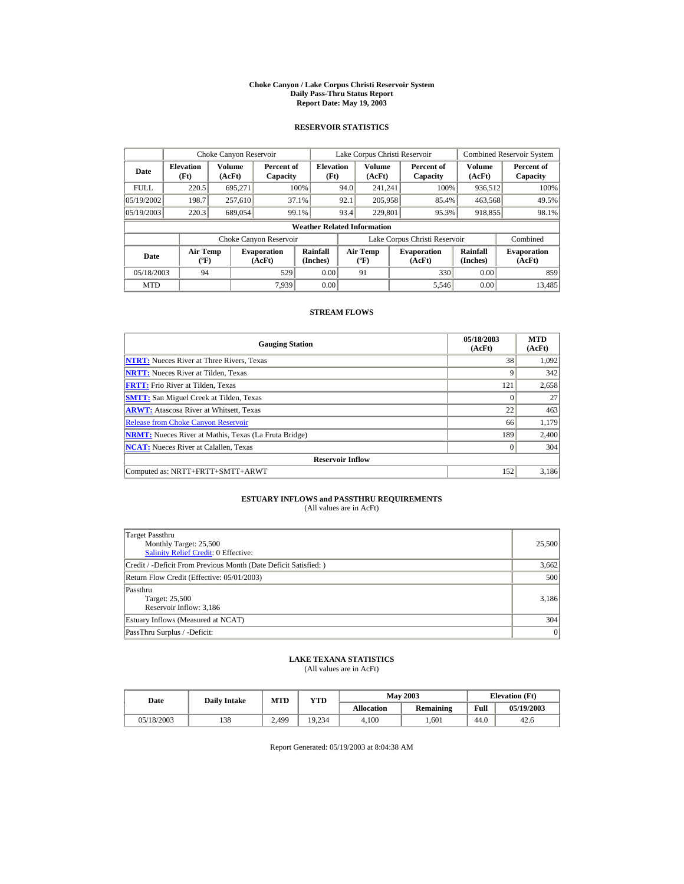#### **Choke Canyon / Lake Corpus Christi Reservoir System Daily Pass-Thru Status Report Report Date: May 19, 2003**

## **RESERVOIR STATISTICS**

|             | Choke Canyon Reservoir                      |                  |                              |                          | Lake Corpus Christi Reservoir |                                         |  |                               |                      | <b>Combined Reservoir System</b> |  |  |
|-------------|---------------------------------------------|------------------|------------------------------|--------------------------|-------------------------------|-----------------------------------------|--|-------------------------------|----------------------|----------------------------------|--|--|
| Date        | <b>Elevation</b><br>(Ft)                    | Volume<br>(AcFt) | Percent of<br>Capacity       | <b>Elevation</b><br>(Ft) |                               | Volume<br>(AcFt)                        |  | Percent of<br>Capacity        | Volume<br>(AcFt)     | Percent of<br>Capacity           |  |  |
| <b>FULL</b> | 220.5                                       | 695.271          |                              | 100%                     | 94.0                          | 241.241                                 |  | 100%                          | 936,512              | 100%                             |  |  |
| 05/19/2002  | 198.7                                       | 257,610          |                              | 37.1%                    | 92.1                          | 205,958                                 |  | 85.4%                         | 463,568              | 49.5%                            |  |  |
| 05/19/2003  | 220.3                                       | 689,054          |                              | 99.1%                    | 93.4                          | 229,801                                 |  | 95.3%                         | 918,855              | 98.1%                            |  |  |
|             | <b>Weather Related Information</b>          |                  |                              |                          |                               |                                         |  |                               |                      |                                  |  |  |
|             |                                             |                  | Choke Canyon Reservoir       |                          |                               |                                         |  | Lake Corpus Christi Reservoir |                      | Combined                         |  |  |
| Date        | <b>Air Temp</b><br>$({}^{\circ}\mathrm{F})$ |                  | <b>Evaporation</b><br>(AcFt) | Rainfall<br>(Inches)     |                               | <b>Air Temp</b><br>$(^{\circ}\text{F})$ |  | <b>Evaporation</b><br>(AcFt)  | Rainfall<br>(Inches) | <b>Evaporation</b><br>(AcFt)     |  |  |
| 05/18/2003  | 94                                          |                  | 529                          | 0.00                     |                               | 91                                      |  | 330                           | 0.00                 | 859                              |  |  |
| <b>MTD</b>  |                                             |                  | 7.939                        | 0.00                     |                               |                                         |  | 5.546                         | 0.00                 | 13.485                           |  |  |

## **STREAM FLOWS**

| <b>Gauging Station</b>                                       | 05/18/2003<br>(AcFt) | <b>MTD</b><br>(AcFt) |
|--------------------------------------------------------------|----------------------|----------------------|
| <b>NTRT:</b> Nueces River at Three Rivers, Texas             | 38                   | 1,092                |
| <b>NRTT:</b> Nueces River at Tilden, Texas                   | 9                    | 342                  |
| <b>FRTT:</b> Frio River at Tilden, Texas                     | 121                  | 2,658                |
| <b>SMTT:</b> San Miguel Creek at Tilden, Texas               | $\Omega$             | 27                   |
| <b>ARWT:</b> Atascosa River at Whitsett, Texas               | 22                   | 463                  |
| <b>Release from Choke Canyon Reservoir</b>                   | 66                   | 1,179                |
| <b>NRMT:</b> Nueces River at Mathis, Texas (La Fruta Bridge) | 189                  | 2.400                |
| <b>NCAT:</b> Nueces River at Calallen, Texas                 | $\Omega$             | 304                  |
| <b>Reservoir Inflow</b>                                      |                      |                      |
| Computed as: NRTT+FRTT+SMTT+ARWT                             | 152                  | 3,186                |

# **ESTUARY INFLOWS and PASSTHRU REQUIREMENTS**<br>(All values are in AcFt)

| Target Passthru<br>Monthly Target: 25,500<br>Salinity Relief Credit: 0 Effective: | 25,500 |
|-----------------------------------------------------------------------------------|--------|
| Credit / -Deficit From Previous Month (Date Deficit Satisfied: )                  | 3,662  |
| Return Flow Credit (Effective: 05/01/2003)                                        | 500    |
| Passthru<br>Target: 25,500<br>Reservoir Inflow: 3,186                             | 3,186  |
| Estuary Inflows (Measured at NCAT)                                                | 304    |
| PassThru Surplus / -Deficit:                                                      | 0      |

## **LAKE TEXANA STATISTICS**

(All values are in AcFt)

| Date       | <b>Daily Intake</b> | <b>MTD</b> | YTD    |                   | <b>May 2003</b> | <b>Elevation</b> (Ft) |            |
|------------|---------------------|------------|--------|-------------------|-----------------|-----------------------|------------|
|            |                     |            |        | <b>Allocation</b> | Remaining       | Full                  | 05/19/2003 |
| 05/18/2003 | 138                 | 2,499      | 19.234 | 4.100             | .601            | 44.0                  | 42.6       |

Report Generated: 05/19/2003 at 8:04:38 AM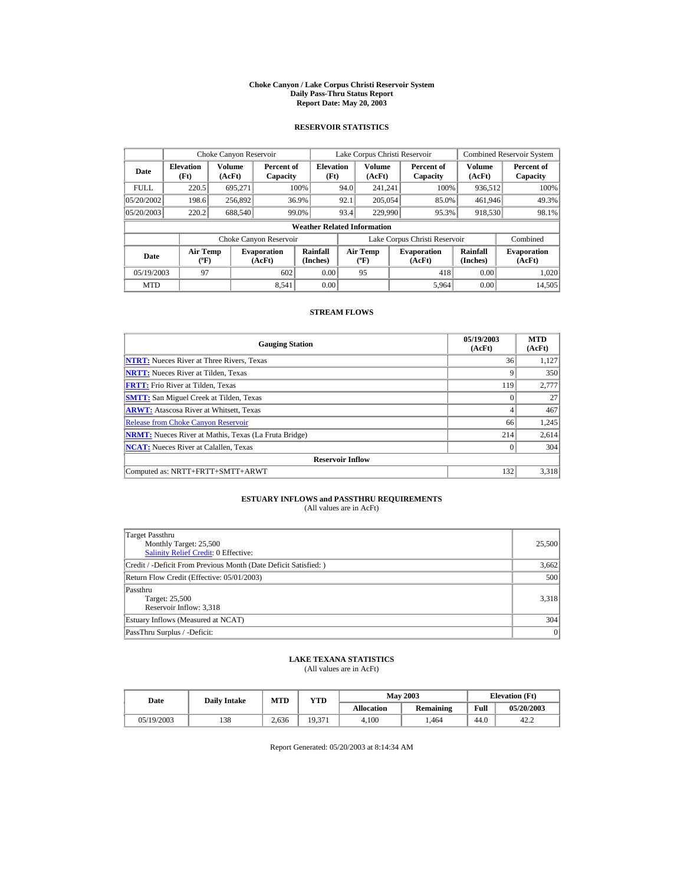#### **Choke Canyon / Lake Corpus Christi Reservoir System Daily Pass-Thru Status Report Report Date: May 20, 2003**

## **RESERVOIR STATISTICS**

|             | Choke Canyon Reservoir                      |                  |                              |                          | Lake Corpus Christi Reservoir |                                  |  |                               |                      | Combined Reservoir System    |  |  |  |
|-------------|---------------------------------------------|------------------|------------------------------|--------------------------|-------------------------------|----------------------------------|--|-------------------------------|----------------------|------------------------------|--|--|--|
| Date        | <b>Elevation</b><br>(Ft)                    | Volume<br>(AcFt) | Percent of<br>Capacity       | <b>Elevation</b><br>(Ft) |                               | Volume<br>(AcFt)                 |  | Percent of<br>Capacity        | Volume<br>(AcFt)     | Percent of<br>Capacity       |  |  |  |
| <b>FULL</b> | 220.5                                       | 695.271          |                              | 100%                     | 94.0                          | 241.241                          |  | 100%                          | 936,512              | 100%                         |  |  |  |
| 05/20/2002  | 198.6                                       | 256,892          |                              | 36.9%                    | 92.1                          | 205,054                          |  | 85.0%                         | 461,946              | 49.3%                        |  |  |  |
| 05/20/2003  | 220.2                                       | 688,540          |                              | 99.0%                    | 93.4                          | 229,990                          |  | 95.3%                         | 918,530              | 98.1%                        |  |  |  |
|             | <b>Weather Related Information</b>          |                  |                              |                          |                               |                                  |  |                               |                      |                              |  |  |  |
|             |                                             |                  | Choke Canyon Reservoir       |                          |                               |                                  |  | Lake Corpus Christi Reservoir |                      | Combined                     |  |  |  |
| Date        | <b>Air Temp</b><br>$({}^{\circ}\mathrm{F})$ |                  | <b>Evaporation</b><br>(AcFt) | Rainfall<br>(Inches)     |                               | <b>Air Temp</b><br>$(^{\circ}F)$ |  | <b>Evaporation</b><br>(AcFt)  | Rainfall<br>(Inches) | <b>Evaporation</b><br>(AcFt) |  |  |  |
| 05/19/2003  | 97                                          |                  | 602                          | 0.00                     |                               | 95                               |  | 418                           | 0.00                 | 1.020                        |  |  |  |
| <b>MTD</b>  |                                             |                  | 8.541                        | 0.00                     |                               |                                  |  | 5,964                         | 0.00                 | 14,505                       |  |  |  |

## **STREAM FLOWS**

| <b>Gauging Station</b>                                       | 05/19/2003<br>(AcFt) | <b>MTD</b><br>(AcFt) |
|--------------------------------------------------------------|----------------------|----------------------|
| <b>NTRT:</b> Nueces River at Three Rivers, Texas             | 36                   | 1,127                |
| <b>NRTT:</b> Nueces River at Tilden, Texas                   | 9                    | 350                  |
| <b>FRTT:</b> Frio River at Tilden, Texas                     | 119                  | 2,777                |
| <b>SMTT:</b> San Miguel Creek at Tilden, Texas               | $\Omega$             | 27                   |
| <b>ARWT:</b> Atascosa River at Whitsett, Texas               | 4                    | 467                  |
| <b>Release from Choke Canyon Reservoir</b>                   | 66                   | 1,245                |
| <b>NRMT:</b> Nueces River at Mathis, Texas (La Fruta Bridge) | 214                  | 2,614                |
| <b>NCAT:</b> Nueces River at Calallen, Texas                 | $\Omega$             | 304                  |
| <b>Reservoir Inflow</b>                                      |                      |                      |
| Computed as: NRTT+FRTT+SMTT+ARWT                             | 132                  | 3,318                |

# **ESTUARY INFLOWS and PASSTHRU REQUIREMENTS**<br>(All values are in AcFt)

| Target Passthru<br>Monthly Target: 25,500<br>Salinity Relief Credit: 0 Effective: | 25,500 |
|-----------------------------------------------------------------------------------|--------|
| Credit / -Deficit From Previous Month (Date Deficit Satisfied: )                  | 3,662  |
| Return Flow Credit (Effective: 05/01/2003)                                        | 500    |
| Passthru<br>Target: 25,500<br>Reservoir Inflow: 3,318                             | 3.318  |
| Estuary Inflows (Measured at NCAT)                                                | 304    |
| PassThru Surplus / -Deficit:                                                      | 0      |

## **LAKE TEXANA STATISTICS**

(All values are in AcFt)

| Date       | <b>Daily Intake</b> | <b>MTD</b> | YTD    |                   | <b>May 2003</b> | <b>Elevation</b> (Ft) |            |
|------------|---------------------|------------|--------|-------------------|-----------------|-----------------------|------------|
|            |                     |            |        | <b>Allocation</b> | Remaining       | Full                  | 05/20/2003 |
| 05/19/2003 | 138                 | 2.636      | 19.371 | 4.100             | .464            | 44.0                  | 42.2       |

Report Generated: 05/20/2003 at 8:14:34 AM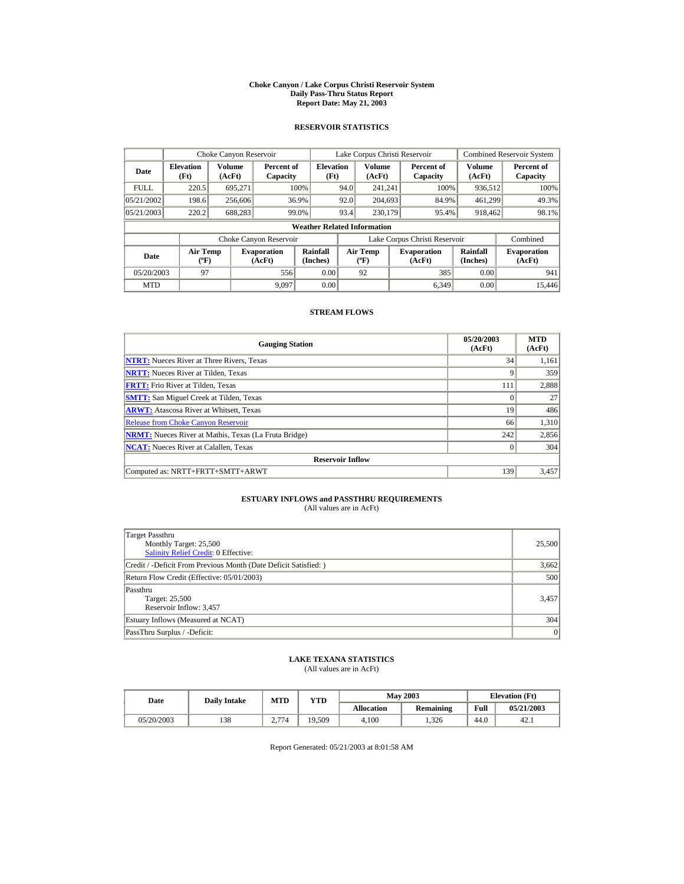#### **Choke Canyon / Lake Corpus Christi Reservoir System Daily Pass-Thru Status Report Report Date: May 21, 2003**

## **RESERVOIR STATISTICS**

|             | Choke Canyon Reservoir                      |                  |                              |                          |      | Lake Corpus Christi Reservoir             |  |                               |                      | Combined Reservoir System    |  |  |
|-------------|---------------------------------------------|------------------|------------------------------|--------------------------|------|-------------------------------------------|--|-------------------------------|----------------------|------------------------------|--|--|
| Date        | <b>Elevation</b><br>(Ft)                    | Volume<br>(AcFt) | Percent of<br>Capacity       | <b>Elevation</b><br>(Ft) |      | Volume<br>(AcFt)                          |  | Percent of<br>Capacity        | Volume<br>(AcFt)     | Percent of<br>Capacity       |  |  |
| <b>FULL</b> | 220.5                                       | 695.271          |                              | 100%                     | 94.0 | 241.241                                   |  | 100%                          | 936,512              | 100%                         |  |  |
| 05/21/2002  | 198.6                                       | 256,606          |                              | 36.9%                    | 92.0 | 204,693                                   |  | 84.9%                         | 461.299              | 49.3%                        |  |  |
| 05/21/2003  | 220.2                                       | 688,283          |                              | 99.0%                    | 93.4 | 230,179                                   |  | 95.4%                         | 918,462              | 98.1%                        |  |  |
|             | <b>Weather Related Information</b>          |                  |                              |                          |      |                                           |  |                               |                      |                              |  |  |
|             |                                             |                  | Choke Canyon Reservoir       |                          |      |                                           |  | Lake Corpus Christi Reservoir |                      | Combined                     |  |  |
| Date        | <b>Air Temp</b><br>$({}^{\circ}\mathrm{F})$ |                  | <b>Evaporation</b><br>(AcFt) | Rainfall<br>(Inches)     |      | <b>Air Temp</b><br>$({}^{\circ}\text{F})$ |  | <b>Evaporation</b><br>(AcFt)  | Rainfall<br>(Inches) | <b>Evaporation</b><br>(AcFt) |  |  |
| 05/20/2003  | 97                                          |                  | 556                          | 0.00                     |      | 92                                        |  | 385                           | 0.00                 | 941                          |  |  |
| <b>MTD</b>  |                                             |                  | 9.097                        | 0.00                     |      |                                           |  | 6.349                         | 0.00                 | 15,446                       |  |  |

## **STREAM FLOWS**

| <b>Gauging Station</b>                                       | 05/20/2003<br>(AcFt) | <b>MTD</b><br>(AcFt) |
|--------------------------------------------------------------|----------------------|----------------------|
| <b>NTRT:</b> Nueces River at Three Rivers, Texas             | 34                   | 1,161                |
| <b>NRTT:</b> Nueces River at Tilden, Texas                   | 9                    | 359                  |
| <b>FRTT:</b> Frio River at Tilden, Texas                     | 111                  | 2.888                |
| <b>SMTT:</b> San Miguel Creek at Tilden, Texas               | $\Omega$             | 27                   |
| <b>ARWT:</b> Atascosa River at Whitsett, Texas               | 19                   | 486                  |
| <b>Release from Choke Canyon Reservoir</b>                   | 66                   | 1,310                |
| <b>NRMT:</b> Nueces River at Mathis, Texas (La Fruta Bridge) | 242                  | 2,856                |
| <b>NCAT:</b> Nueces River at Calallen, Texas                 | $\Omega$             | 304                  |
| <b>Reservoir Inflow</b>                                      |                      |                      |
| Computed as: NRTT+FRTT+SMTT+ARWT                             | 139                  | 3,457                |

# **ESTUARY INFLOWS and PASSTHRU REQUIREMENTS**<br>(All values are in AcFt)

| Target Passthru<br>Monthly Target: 25,500<br>Salinity Relief Credit: 0 Effective: | 25,500 |
|-----------------------------------------------------------------------------------|--------|
| Credit / -Deficit From Previous Month (Date Deficit Satisfied: )                  | 3,662  |
| Return Flow Credit (Effective: 05/01/2003)                                        | 500    |
| Passthru<br>Target: 25,500<br>Reservoir Inflow: 3,457                             | 3.457  |
| Estuary Inflows (Measured at NCAT)                                                | 304    |
| PassThru Surplus / -Deficit:                                                      | 0      |

## **LAKE TEXANA STATISTICS**

(All values are in AcFt)

| Date |            | <b>May 2003</b><br>MTD<br>YTD<br><b>Daily Intake</b> |      |                   | <b>Elevation</b> (Ft) |      |            |      |
|------|------------|------------------------------------------------------|------|-------------------|-----------------------|------|------------|------|
|      |            |                                                      |      | <b>Allocation</b> | <b>Remaining</b>      | Full | 05/21/2003 |      |
|      | 05/20/2003 | 138                                                  | 2774 | 19.509            | 4.100                 | .326 | 44.0       | 42.1 |

Report Generated: 05/21/2003 at 8:01:58 AM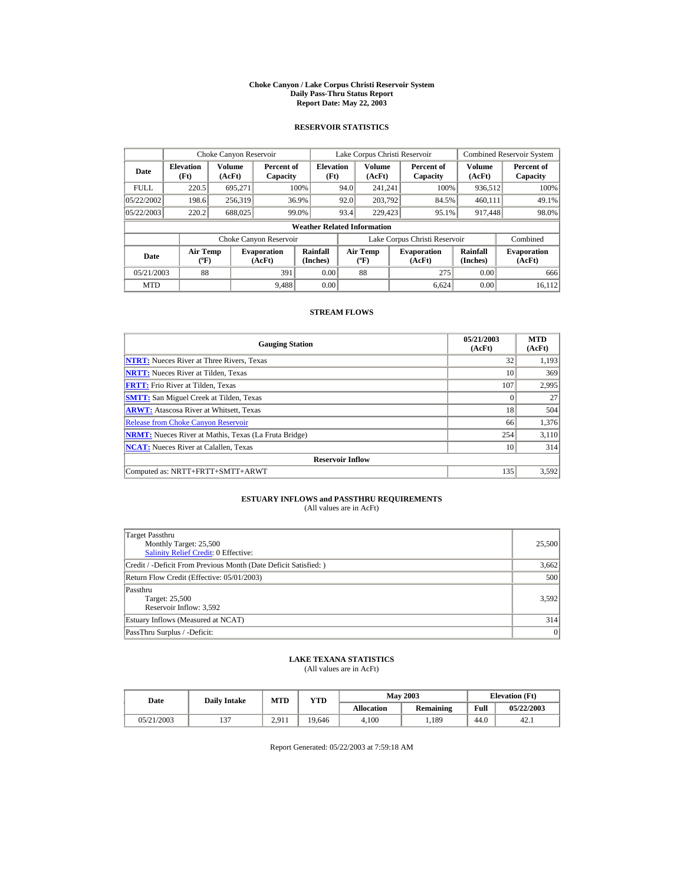#### **Choke Canyon / Lake Corpus Christi Reservoir System Daily Pass-Thru Status Report Report Date: May 22, 2003**

## **RESERVOIR STATISTICS**

|             | Choke Canyon Reservoir                      |                  |                              |                          | Lake Corpus Christi Reservoir |                                           |  |                               |                      | <b>Combined Reservoir System</b> |  |  |
|-------------|---------------------------------------------|------------------|------------------------------|--------------------------|-------------------------------|-------------------------------------------|--|-------------------------------|----------------------|----------------------------------|--|--|
| Date        | <b>Elevation</b><br>(Ft)                    | Volume<br>(AcFt) | Percent of<br>Capacity       | <b>Elevation</b><br>(Ft) |                               | <b>Volume</b><br>(AcFt)                   |  | Percent of<br>Capacity        | Volume<br>(AcFt)     | Percent of<br>Capacity           |  |  |
| <b>FULL</b> | 220.5                                       | 695,271          |                              | 100%                     | 94.0                          | 241.241                                   |  | 100%                          | 936,512              | 100%                             |  |  |
| 05/22/2002  | 198.6                                       | 256,319          |                              | 36.9%                    | 92.0                          | 203.792                                   |  | 84.5%                         | 460.111              | 49.1%                            |  |  |
| 05/22/2003  | 220.2                                       | 688,025          |                              | 99.0%                    | 93.4                          | 229,423                                   |  | 95.1%                         | 917,448              | 98.0%                            |  |  |
|             | <b>Weather Related Information</b>          |                  |                              |                          |                               |                                           |  |                               |                      |                                  |  |  |
|             |                                             |                  | Choke Canyon Reservoir       |                          |                               |                                           |  | Lake Corpus Christi Reservoir |                      | Combined                         |  |  |
| Date        | <b>Air Temp</b><br>$({}^{\circ}\mathrm{F})$ |                  | <b>Evaporation</b><br>(AcFt) | Rainfall<br>(Inches)     |                               | <b>Air Temp</b><br>$({}^{\circ}\text{F})$ |  | <b>Evaporation</b><br>(AcFt)  | Rainfall<br>(Inches) | <b>Evaporation</b><br>(AcFt)     |  |  |
| 05/21/2003  | 88                                          |                  | 391                          | 0.00                     |                               | 88                                        |  | 275                           | 0.00                 | 666                              |  |  |
| <b>MTD</b>  |                                             |                  | 9.488                        | 0.00                     |                               |                                           |  | 6.624                         | 0.00                 | 16.112                           |  |  |

## **STREAM FLOWS**

| <b>Gauging Station</b>                                       | 05/21/2003<br>(AcFt) | <b>MTD</b><br>(AcFt) |
|--------------------------------------------------------------|----------------------|----------------------|
| <b>NTRT:</b> Nueces River at Three Rivers, Texas             | 32                   | 1,193                |
| <b>NRTT:</b> Nueces River at Tilden, Texas                   | 10                   | 369                  |
| <b>FRTT:</b> Frio River at Tilden, Texas                     | 107                  | 2,995                |
| <b>SMTT:</b> San Miguel Creek at Tilden, Texas               | $\Omega$             | 27                   |
| <b>ARWT:</b> Atascosa River at Whitsett, Texas               | 18                   | 504                  |
| <b>Release from Choke Canyon Reservoir</b>                   | 66                   | 1,376                |
| <b>NRMT:</b> Nueces River at Mathis, Texas (La Fruta Bridge) | 254                  | 3.110                |
| <b>NCAT:</b> Nueces River at Calallen, Texas                 | 10                   | 314                  |
| <b>Reservoir Inflow</b>                                      |                      |                      |
| Computed as: NRTT+FRTT+SMTT+ARWT                             | 135                  | 3,592                |

# **ESTUARY INFLOWS and PASSTHRU REQUIREMENTS**<br>(All values are in AcFt)

| Target Passthru<br>Monthly Target: 25,500<br>Salinity Relief Credit: 0 Effective: | 25,500 |
|-----------------------------------------------------------------------------------|--------|
| Credit / -Deficit From Previous Month (Date Deficit Satisfied: )                  | 3,662  |
| Return Flow Credit (Effective: 05/01/2003)                                        | 500    |
| Passthru<br>Target: 25,500<br>Reservoir Inflow: 3,592                             | 3.592  |
| Estuary Inflows (Measured at NCAT)                                                | 314    |
| PassThru Surplus / -Deficit:                                                      | 0      |

## **LAKE TEXANA STATISTICS**

(All values are in AcFt)

| Date       | <b>Daily Intake</b> | <b>MTD</b> | YTD    |                   | <b>May 2003</b> | <b>Elevation</b> (Ft) |            |
|------------|---------------------|------------|--------|-------------------|-----------------|-----------------------|------------|
|            |                     |            |        | <b>Allocation</b> | Remaining       | Full                  | 05/22/2003 |
| 05/21/2003 | $\sim$              | 2.911      | 19.646 | 4.100             | .189            | 44.0                  | 42.1       |

Report Generated: 05/22/2003 at 7:59:18 AM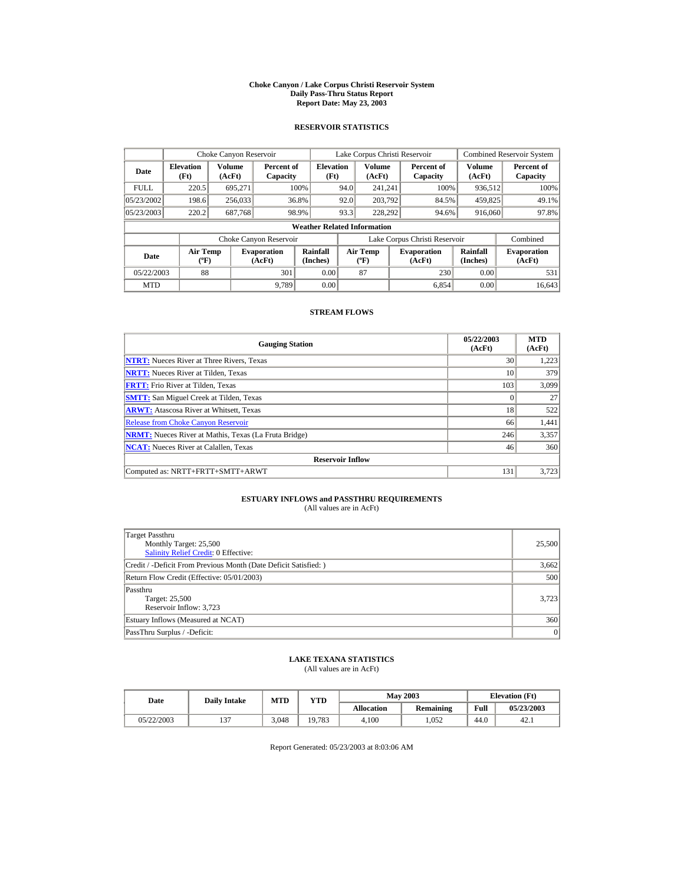#### **Choke Canyon / Lake Corpus Christi Reservoir System Daily Pass-Thru Status Report Report Date: May 23, 2003**

## **RESERVOIR STATISTICS**

|             | Choke Canyon Reservoir                      |                  |                              |                          | Lake Corpus Christi Reservoir |                                           |  |                               |                      | <b>Combined Reservoir System</b> |  |  |
|-------------|---------------------------------------------|------------------|------------------------------|--------------------------|-------------------------------|-------------------------------------------|--|-------------------------------|----------------------|----------------------------------|--|--|
| Date        | <b>Elevation</b><br>(Ft)                    | Volume<br>(AcFt) | Percent of<br>Capacity       | <b>Elevation</b><br>(Ft) |                               | <b>Volume</b><br>(AcFt)                   |  | Percent of<br>Capacity        | Volume<br>(AcFt)     | Percent of<br>Capacity           |  |  |
| <b>FULL</b> | 220.5                                       | 695,271          |                              | 100%                     | 94.0                          | 241.241                                   |  | 100%                          | 936,512              | 100%                             |  |  |
| 05/23/2002  | 198.6                                       | 256,033          |                              | 36.8%                    | 92.0                          | 203.792                                   |  | 84.5%                         | 459,825              | 49.1%                            |  |  |
| 05/23/2003  | 220.2                                       | 687,768          |                              | 98.9%                    | 93.3                          | 228,292                                   |  | 94.6%                         | 916,060              | 97.8%                            |  |  |
|             | <b>Weather Related Information</b>          |                  |                              |                          |                               |                                           |  |                               |                      |                                  |  |  |
|             |                                             |                  | Choke Canyon Reservoir       |                          |                               |                                           |  | Lake Corpus Christi Reservoir |                      | Combined                         |  |  |
| Date        | <b>Air Temp</b><br>$({}^{\circ}\mathrm{F})$ |                  | <b>Evaporation</b><br>(AcFt) | Rainfall<br>(Inches)     |                               | <b>Air Temp</b><br>$({}^{\circ}\text{F})$ |  | <b>Evaporation</b><br>(AcFt)  | Rainfall<br>(Inches) | <b>Evaporation</b><br>(AcFt)     |  |  |
| 05/22/2003  | 88                                          |                  | 301                          | 0.00                     |                               | 87                                        |  | 230                           | 0.00                 | 531                              |  |  |
| <b>MTD</b>  |                                             |                  | 9.789                        | 0.00                     |                               |                                           |  | 6.854                         | 0.00                 | 16.643                           |  |  |

## **STREAM FLOWS**

| <b>Gauging Station</b>                                       | 05/22/2003<br>(AcFt) | <b>MTD</b><br>(AcFt) |
|--------------------------------------------------------------|----------------------|----------------------|
| <b>NTRT:</b> Nueces River at Three Rivers, Texas             | 30                   | 1,223                |
| <b>NRTT:</b> Nueces River at Tilden, Texas                   | 10                   | 379                  |
| <b>FRTT:</b> Frio River at Tilden, Texas                     | 103                  | 3.099                |
| <b>SMTT:</b> San Miguel Creek at Tilden, Texas               | $\Omega$             | 27                   |
| <b>ARWT:</b> Atascosa River at Whitsett, Texas               | 18                   | 522                  |
| <b>Release from Choke Canyon Reservoir</b>                   | 66                   | 1,441                |
| <b>NRMT:</b> Nueces River at Mathis, Texas (La Fruta Bridge) | 246                  | 3,357                |
| <b>NCAT:</b> Nueces River at Calallen, Texas                 | 46                   | 360                  |
| <b>Reservoir Inflow</b>                                      |                      |                      |
| Computed as: NRTT+FRTT+SMTT+ARWT                             | 131                  | 3,723                |

# **ESTUARY INFLOWS and PASSTHRU REQUIREMENTS**<br>(All values are in AcFt)

| Target Passthru<br>Monthly Target: 25,500<br>Salinity Relief Credit: 0 Effective: | 25,500 |
|-----------------------------------------------------------------------------------|--------|
| Credit / -Deficit From Previous Month (Date Deficit Satisfied: )                  | 3,662  |
| Return Flow Credit (Effective: 05/01/2003)                                        | 500    |
| Passthru<br>Target: 25,500<br>Reservoir Inflow: 3,723                             | 3.723  |
| Estuary Inflows (Measured at NCAT)                                                | 360    |
| PassThru Surplus / -Deficit:                                                      | 0      |

## **LAKE TEXANA STATISTICS**

(All values are in AcFt)

| Date       |        | MTD<br><b>Daily Intake</b> |              |            | <b>May 2003</b> | <b>Elevation</b> (Ft) |            |
|------------|--------|----------------------------|--------------|------------|-----------------|-----------------------|------------|
|            |        |                            | $_{\rm VTD}$ | Allocation | Remaining       | Full                  | 05/23/2003 |
| 05/22/2003 | $\sim$ | 3.048                      | 19.783       | 4.100      | .052            | 44.0                  | 42.1       |

Report Generated: 05/23/2003 at 8:03:06 AM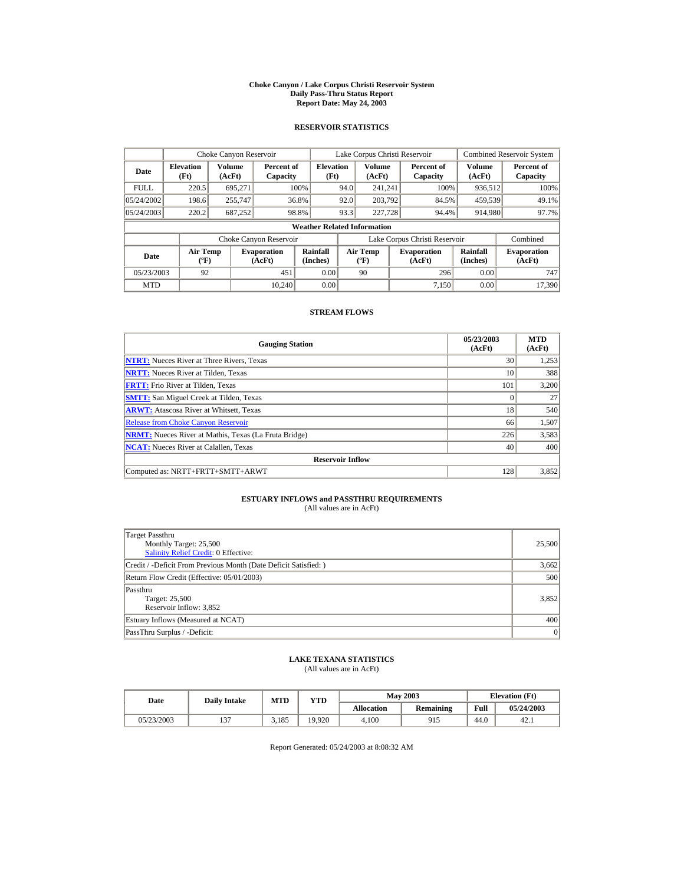#### **Choke Canyon / Lake Corpus Christi Reservoir System Daily Pass-Thru Status Report Report Date: May 24, 2003**

## **RESERVOIR STATISTICS**

|             | Choke Canyon Reservoir                      |                  |                              |                          | Lake Corpus Christi Reservoir |                                             |  |                               |                      | <b>Combined Reservoir System</b> |  |  |
|-------------|---------------------------------------------|------------------|------------------------------|--------------------------|-------------------------------|---------------------------------------------|--|-------------------------------|----------------------|----------------------------------|--|--|
| Date        | <b>Elevation</b><br>(Ft)                    | Volume<br>(AcFt) | Percent of<br>Capacity       | <b>Elevation</b><br>(Ft) |                               | Volume<br>(AcFt)                            |  | Percent of<br>Capacity        | Volume<br>(AcFt)     | Percent of<br>Capacity           |  |  |
| <b>FULL</b> | 220.5                                       | 695.271          |                              | 100%                     | 94.0                          | 241.241                                     |  | 100%                          | 936,512              | 100%                             |  |  |
| 05/24/2002  | 198.6                                       | 255,747          |                              | 36.8%                    | 92.0                          | 203.792                                     |  | 84.5%                         | 459,539              | 49.1%                            |  |  |
| 05/24/2003  | 220.2                                       | 687.252          |                              | 98.8%                    | 93.3                          | 227,728                                     |  | 94.4%                         | 914.980              | 97.7%                            |  |  |
|             | <b>Weather Related Information</b>          |                  |                              |                          |                               |                                             |  |                               |                      |                                  |  |  |
|             |                                             |                  | Choke Canyon Reservoir       |                          |                               |                                             |  | Lake Corpus Christi Reservoir |                      | Combined                         |  |  |
| Date        | <b>Air Temp</b><br>$({}^{\circ}\mathrm{F})$ |                  | <b>Evaporation</b><br>(AcFt) | Rainfall<br>(Inches)     |                               | <b>Air Temp</b><br>$({}^{\circ}\mathbf{F})$ |  | <b>Evaporation</b><br>(AcFt)  | Rainfall<br>(Inches) | <b>Evaporation</b><br>(AcFt)     |  |  |
| 05/23/2003  | 92                                          |                  | 451                          | 0.00                     |                               | 90                                          |  | 296                           | 0.00                 | 747                              |  |  |
| <b>MTD</b>  |                                             |                  | 10.240                       | 0.00                     |                               |                                             |  | 7.150                         | 0.00                 | 17,390                           |  |  |

## **STREAM FLOWS**

| <b>Gauging Station</b>                                       | 05/23/2003<br>(AcFt) | <b>MTD</b><br>(AcFt) |
|--------------------------------------------------------------|----------------------|----------------------|
| <b>NTRT:</b> Nueces River at Three Rivers, Texas             | 30                   | 1,253                |
| <b>NRTT:</b> Nueces River at Tilden, Texas                   | 10                   | 388                  |
| <b>FRTT:</b> Frio River at Tilden, Texas                     | 101                  | 3.200                |
| <b>SMTT:</b> San Miguel Creek at Tilden, Texas               | $\Omega$             | 27                   |
| <b>ARWT:</b> Atascosa River at Whitsett, Texas               | 18                   | 540                  |
| <b>Release from Choke Canyon Reservoir</b>                   | 66                   | 1,507                |
| <b>NRMT:</b> Nueces River at Mathis, Texas (La Fruta Bridge) | 226                  | 3,583                |
| <b>NCAT:</b> Nueces River at Calallen, Texas                 | 40                   | 400                  |
| <b>Reservoir Inflow</b>                                      |                      |                      |
| Computed as: NRTT+FRTT+SMTT+ARWT                             | 128                  | 3,852                |

# **ESTUARY INFLOWS and PASSTHRU REQUIREMENTS**<br>(All values are in AcFt)

| Target Passthru<br>Monthly Target: 25,500<br>Salinity Relief Credit: 0 Effective: | 25,500 |
|-----------------------------------------------------------------------------------|--------|
| Credit / -Deficit From Previous Month (Date Deficit Satisfied: )                  | 3,662  |
| Return Flow Credit (Effective: 05/01/2003)                                        | 500    |
| Passthru<br>Target: 25,500<br>Reservoir Inflow: 3,852                             | 3.852  |
| Estuary Inflows (Measured at NCAT)                                                | 400    |
| PassThru Surplus / -Deficit:                                                      | 0      |

## **LAKE TEXANA STATISTICS**

(All values are in AcFt)

| Date       | <b>Daily Intake</b> | MTD   | $_{\rm VTD}$ |            | <b>May 2003</b> | <b>Elevation</b> (Ft) |            |
|------------|---------------------|-------|--------------|------------|-----------------|-----------------------|------------|
|            |                     |       |              | Allocation | Remaining       | Full                  | 05/24/2003 |
| 05/23/2003 | $\sim$              | 3.185 | 19.920       | 4.100      | 915             | 44.0                  | 42.1       |

Report Generated: 05/24/2003 at 8:08:32 AM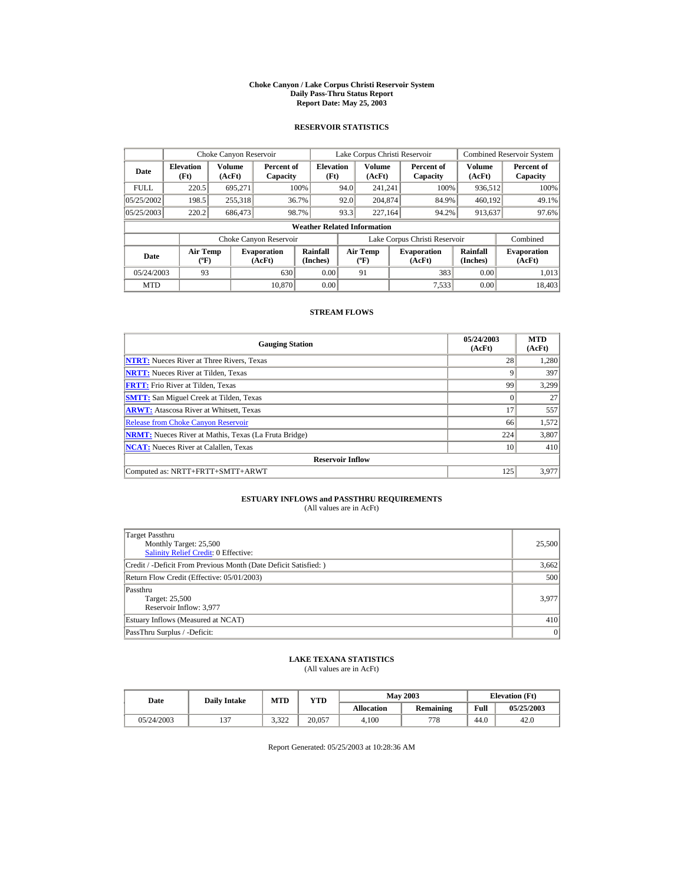#### **Choke Canyon / Lake Corpus Christi Reservoir System Daily Pass-Thru Status Report Report Date: May 25, 2003**

## **RESERVOIR STATISTICS**

|             | Choke Canyon Reservoir                      |                  |                              |                          | Lake Corpus Christi Reservoir |                                             |  |                               |                      | Combined Reservoir System    |  |  |
|-------------|---------------------------------------------|------------------|------------------------------|--------------------------|-------------------------------|---------------------------------------------|--|-------------------------------|----------------------|------------------------------|--|--|
| Date        | <b>Elevation</b><br>(Ft)                    | Volume<br>(AcFt) | Percent of<br>Capacity       | <b>Elevation</b><br>(Ft) |                               | Volume<br>(AcFt)                            |  | Percent of<br>Capacity        | Volume<br>(AcFt)     | Percent of<br>Capacity       |  |  |
| <b>FULL</b> | 220.5                                       | 695.271          |                              | 100%                     | 94.0                          | 241.241                                     |  | 100%                          | 936,512              | 100%                         |  |  |
| 05/25/2002  | 198.5                                       | 255,318          |                              | 36.7%                    | 92.0                          | 204,874                                     |  | 84.9%                         | 460,192              | 49.1%                        |  |  |
| 05/25/2003  | 220.2                                       | 686,473          |                              | 98.7%                    | 93.3                          | 227.164                                     |  | 94.2%                         | 913,637              | 97.6%                        |  |  |
|             | <b>Weather Related Information</b>          |                  |                              |                          |                               |                                             |  |                               |                      |                              |  |  |
|             |                                             |                  | Choke Canyon Reservoir       |                          |                               |                                             |  | Lake Corpus Christi Reservoir |                      | Combined                     |  |  |
| Date        | <b>Air Temp</b><br>$({}^{\circ}\mathrm{F})$ |                  | <b>Evaporation</b><br>(AcFt) | Rainfall<br>(Inches)     |                               | <b>Air Temp</b><br>$({}^{\circ}\mathbf{F})$ |  | <b>Evaporation</b><br>(AcFt)  | Rainfall<br>(Inches) | <b>Evaporation</b><br>(AcFt) |  |  |
| 05/24/2003  | 93                                          |                  | 630                          | 0.00                     |                               | 91                                          |  | 383                           | 0.00                 | 1.013                        |  |  |
| <b>MTD</b>  |                                             |                  | 10.870                       | 0.00                     |                               |                                             |  | 7.533                         | 0.00                 | 18.403                       |  |  |

## **STREAM FLOWS**

| <b>Gauging Station</b>                                       | 05/24/2003<br>(AcFt) | <b>MTD</b><br>(AcFt) |
|--------------------------------------------------------------|----------------------|----------------------|
| <b>NTRT:</b> Nueces River at Three Rivers, Texas             | 28                   | 1,280                |
| <b>NRTT:</b> Nueces River at Tilden, Texas                   | 9                    | 397                  |
| <b>FRTT:</b> Frio River at Tilden, Texas                     | 99                   | 3.299                |
| <b>SMTT:</b> San Miguel Creek at Tilden, Texas               | $\Omega$             | 27                   |
| <b>ARWT:</b> Atascosa River at Whitsett, Texas               | 17                   | 557                  |
| <b>Release from Choke Canyon Reservoir</b>                   | 66                   | 1,572                |
| <b>NRMT:</b> Nueces River at Mathis, Texas (La Fruta Bridge) | 224                  | 3,807                |
| <b>NCAT:</b> Nueces River at Calallen, Texas                 | 10                   | 410                  |
| <b>Reservoir Inflow</b>                                      |                      |                      |
| Computed as: NRTT+FRTT+SMTT+ARWT                             | 125                  | 3.977                |

# **ESTUARY INFLOWS and PASSTHRU REQUIREMENTS**<br>(All values are in AcFt)

| Target Passthru<br>Monthly Target: 25,500<br>Salinity Relief Credit: 0 Effective: | 25,500 |
|-----------------------------------------------------------------------------------|--------|
| Credit / -Deficit From Previous Month (Date Deficit Satisfied:)                   | 3,662  |
| Return Flow Credit (Effective: 05/01/2003)                                        | 500    |
| Passthru<br>Target: 25,500<br>Reservoir Inflow: 3,977                             | 3.977  |
| Estuary Inflows (Measured at NCAT)                                                | 410    |
| PassThru Surplus / -Deficit:                                                      | 0      |

## **LAKE TEXANA STATISTICS**

(All values are in AcFt)

| Date       | <b>Daily Intake</b> | MTD           | YTD    |                   | <b>May 2003</b>  | <b>Elevation</b> (Ft) |            |
|------------|---------------------|---------------|--------|-------------------|------------------|-----------------------|------------|
|            |                     |               |        | <b>Allocation</b> | <b>Remaining</b> | Full                  | 05/25/2003 |
| 05/24/2003 | $\sim$              | 2.22<br>ے د.د | 20.057 | 4.100             | 778              | 44.0                  | 42.0       |

Report Generated: 05/25/2003 at 10:28:36 AM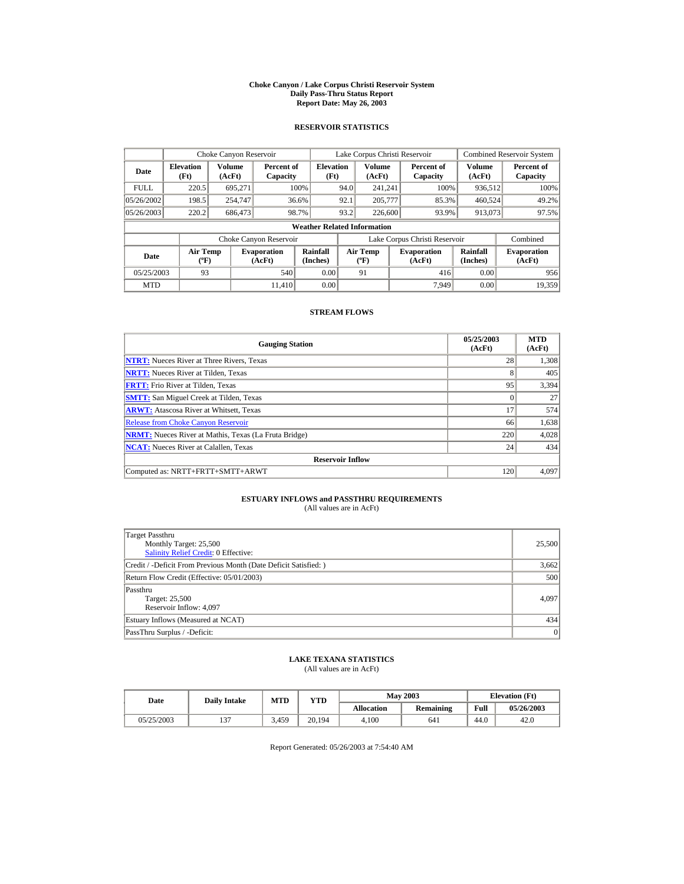#### **Choke Canyon / Lake Corpus Christi Reservoir System Daily Pass-Thru Status Report Report Date: May 26, 2003**

## **RESERVOIR STATISTICS**

|             | Choke Canyon Reservoir                      |                  |                              |                          | Lake Corpus Christi Reservoir |                                             |  |                               |                      | Combined Reservoir System    |  |  |
|-------------|---------------------------------------------|------------------|------------------------------|--------------------------|-------------------------------|---------------------------------------------|--|-------------------------------|----------------------|------------------------------|--|--|
| Date        | <b>Elevation</b><br>(Ft)                    | Volume<br>(AcFt) | Percent of<br>Capacity       | <b>Elevation</b><br>(Ft) |                               | Volume<br>(AcFt)                            |  | Percent of<br>Capacity        | Volume<br>(AcFt)     | Percent of<br>Capacity       |  |  |
| <b>FULL</b> | 220.5                                       | 695.271          |                              | 100%                     | 94.0                          | 241.241                                     |  | 100%                          | 936,512              | 100%                         |  |  |
| 05/26/2002  | 198.5                                       | 254,747          |                              | 36.6%                    | 92.1                          | 205,777                                     |  | 85.3%                         | 460,524              | 49.2%                        |  |  |
| 05/26/2003  | 220.2                                       | 686,473          |                              | 98.7%                    | 93.2                          | 226,600                                     |  | 93.9%                         | 913.073              | 97.5%                        |  |  |
|             | <b>Weather Related Information</b>          |                  |                              |                          |                               |                                             |  |                               |                      |                              |  |  |
|             |                                             |                  | Choke Canyon Reservoir       |                          |                               |                                             |  | Lake Corpus Christi Reservoir |                      | Combined                     |  |  |
| Date        | <b>Air Temp</b><br>$({}^{\circ}\mathrm{F})$ |                  | <b>Evaporation</b><br>(AcFt) | Rainfall<br>(Inches)     |                               | <b>Air Temp</b><br>$({}^{\circ}\mathbf{F})$ |  | <b>Evaporation</b><br>(AcFt)  | Rainfall<br>(Inches) | <b>Evaporation</b><br>(AcFt) |  |  |
| 05/25/2003  | 93                                          |                  | 540                          | 0.00                     |                               | 91                                          |  | 416                           | 0.00                 | 956                          |  |  |
| <b>MTD</b>  |                                             |                  | 11.410                       | 0.00                     |                               |                                             |  | 7.949                         | 0.00                 | 19,359                       |  |  |

## **STREAM FLOWS**

| <b>Gauging Station</b>                                       | 05/25/2003<br>(AcFt) | <b>MTD</b><br>(AcFt) |
|--------------------------------------------------------------|----------------------|----------------------|
| <b>NTRT:</b> Nueces River at Three Rivers, Texas             | 28                   | 1,308                |
| <b>NRTT:</b> Nueces River at Tilden, Texas                   | 8                    | 405                  |
| <b>FRTT:</b> Frio River at Tilden, Texas                     | 95                   | 3.394                |
| <b>SMTT:</b> San Miguel Creek at Tilden, Texas               | $\Omega$             | 27                   |
| <b>ARWT:</b> Atascosa River at Whitsett, Texas               | 17                   | 574                  |
| <b>Release from Choke Canyon Reservoir</b>                   | 66                   | 1,638                |
| <b>NRMT:</b> Nueces River at Mathis, Texas (La Fruta Bridge) | 220                  | 4,028                |
| <b>NCAT:</b> Nueces River at Calallen. Texas                 | 24                   | 434                  |
| <b>Reservoir Inflow</b>                                      |                      |                      |
| Computed as: NRTT+FRTT+SMTT+ARWT                             | 120                  | 4,097                |

# **ESTUARY INFLOWS and PASSTHRU REQUIREMENTS**<br>(All values are in AcFt)

| Target Passthru<br>Monthly Target: 25,500<br>Salinity Relief Credit: 0 Effective: | 25,500 |
|-----------------------------------------------------------------------------------|--------|
| Credit / -Deficit From Previous Month (Date Deficit Satisfied: )                  | 3,662  |
| Return Flow Credit (Effective: 05/01/2003)                                        | 500    |
| Passthru<br>Target: 25,500<br>Reservoir Inflow: 4,097                             | 4.097  |
| Estuary Inflows (Measured at NCAT)                                                | 434    |
| PassThru Surplus / -Deficit:                                                      | 0      |

## **LAKE TEXANA STATISTICS**

(All values are in AcFt)

| Date       | <b>Daily Intake</b> | MTD   | YTD    |                   | <b>May 2003</b>  | <b>Elevation</b> (Ft) |            |
|------------|---------------------|-------|--------|-------------------|------------------|-----------------------|------------|
|            |                     |       |        | <b>Allocation</b> | <b>Remaining</b> | Full                  | 05/26/2003 |
| 05/25/2003 | $\sim$              | 3.459 | 20.194 | 4.100             | 641              | 44.0                  | 42.0       |

Report Generated: 05/26/2003 at 7:54:40 AM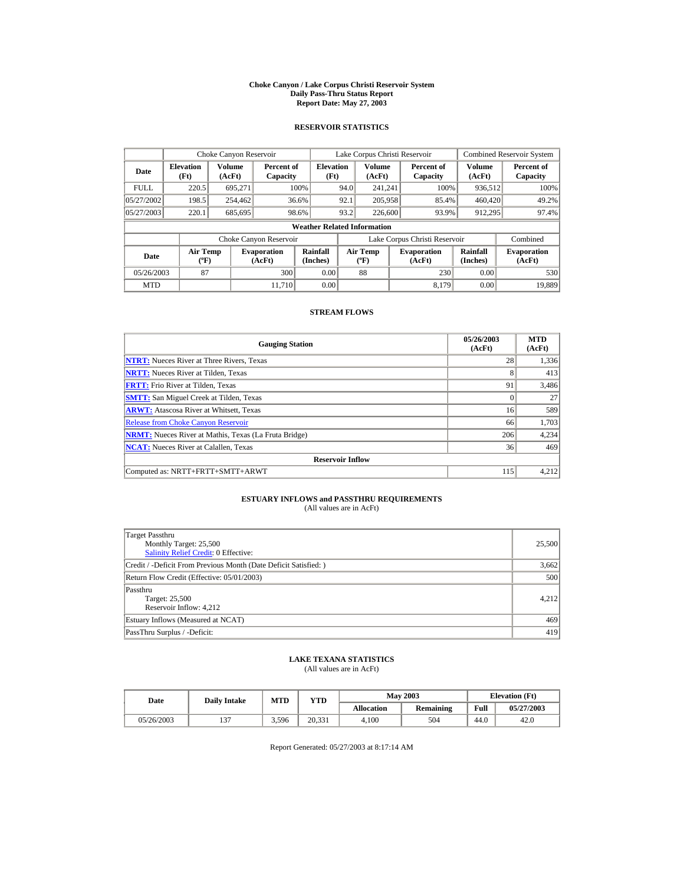#### **Choke Canyon / Lake Corpus Christi Reservoir System Daily Pass-Thru Status Report Report Date: May 27, 2003**

## **RESERVOIR STATISTICS**

|             | Choke Canyon Reservoir                      |                  |                              |                          | Lake Corpus Christi Reservoir |                                           |  |                               |                      | Combined Reservoir System    |  |  |
|-------------|---------------------------------------------|------------------|------------------------------|--------------------------|-------------------------------|-------------------------------------------|--|-------------------------------|----------------------|------------------------------|--|--|
| Date        | <b>Elevation</b><br>(Ft)                    | Volume<br>(AcFt) | Percent of<br>Capacity       | <b>Elevation</b><br>(Ft) |                               | Volume<br>(AcFt)                          |  | Percent of<br>Capacity        | Volume<br>(AcFt)     | Percent of<br>Capacity       |  |  |
| <b>FULL</b> | 220.5                                       | 695.271          |                              | 100%                     | 94.0                          | 241.241                                   |  | 100%                          | 936,512              | 100%                         |  |  |
| 05/27/2002  | 198.5                                       | 254,462          |                              | 36.6%                    | 92.1                          | 205,958                                   |  | 85.4%                         | 460,420              | 49.2%                        |  |  |
| 05/27/2003  | 220.1                                       | 685,695          |                              | 98.6%                    | 93.2                          | 226,600                                   |  | 93.9%                         | 912.295              | 97.4%                        |  |  |
|             | <b>Weather Related Information</b>          |                  |                              |                          |                               |                                           |  |                               |                      |                              |  |  |
|             |                                             |                  | Choke Canyon Reservoir       |                          |                               |                                           |  | Lake Corpus Christi Reservoir |                      | Combined                     |  |  |
| Date        | <b>Air Temp</b><br>$({}^{\circ}\mathrm{F})$ |                  | <b>Evaporation</b><br>(AcFt) | Rainfall<br>(Inches)     |                               | <b>Air Temp</b><br>$({}^{\circ}\text{F})$ |  | <b>Evaporation</b><br>(AcFt)  | Rainfall<br>(Inches) | <b>Evaporation</b><br>(AcFt) |  |  |
| 05/26/2003  | 87                                          |                  | 300                          | 0.00                     |                               | 88                                        |  | 230                           | 0.00                 | 530                          |  |  |
| <b>MTD</b>  |                                             |                  | 11.710                       | 0.00                     |                               |                                           |  | 8.179                         | 0.00                 | 19,889                       |  |  |

## **STREAM FLOWS**

| <b>Gauging Station</b>                                       | 05/26/2003<br>(AcFt) | <b>MTD</b><br>(AcFt) |
|--------------------------------------------------------------|----------------------|----------------------|
| <b>NTRT:</b> Nueces River at Three Rivers, Texas             | 28                   | 1,336                |
| <b>NRTT:</b> Nueces River at Tilden, Texas                   | 8                    | 413                  |
| <b>FRTT:</b> Frio River at Tilden, Texas                     | 91                   | 3,486                |
| <b>SMTT:</b> San Miguel Creek at Tilden, Texas               | $\Omega$             | 27                   |
| <b>ARWT:</b> Atascosa River at Whitsett, Texas               | 16                   | 589                  |
| <b>Release from Choke Canyon Reservoir</b>                   | 66                   | 1,703                |
| <b>NRMT:</b> Nueces River at Mathis, Texas (La Fruta Bridge) | 206                  | 4,234                |
| <b>NCAT:</b> Nueces River at Calallen, Texas                 | 36                   | 469                  |
| <b>Reservoir Inflow</b>                                      |                      |                      |
| Computed as: NRTT+FRTT+SMTT+ARWT                             | 115                  | 4,212                |

# **ESTUARY INFLOWS and PASSTHRU REQUIREMENTS**<br>(All values are in AcFt)

| Target Passthru<br>Monthly Target: 25,500<br>Salinity Relief Credit: 0 Effective: | 25,500 |
|-----------------------------------------------------------------------------------|--------|
| Credit / -Deficit From Previous Month (Date Deficit Satisfied: )                  | 3,662  |
| Return Flow Credit (Effective: 05/01/2003)                                        | 500    |
| Passthru<br>Target: 25,500<br>Reservoir Inflow: 4,212                             | 4.212  |
| Estuary Inflows (Measured at NCAT)                                                | 469    |
| PassThru Surplus / -Deficit:                                                      | 419    |

## **LAKE TEXANA STATISTICS**

(All values are in AcFt)

| Date       | <b>Daily Intake</b> | <b>MTD</b> | YTD    |                   | <b>May 2003</b> | <b>Elevation</b> (Ft) |            |
|------------|---------------------|------------|--------|-------------------|-----------------|-----------------------|------------|
|            |                     |            |        | <b>Allocation</b> | Remaining       | Full                  | 05/27/2003 |
| 05/26/2003 | $\sim$<br>، ب       | 3,596      | 20.331 | 4.100             | 504             | 44.0                  | 42.0       |

Report Generated: 05/27/2003 at 8:17:14 AM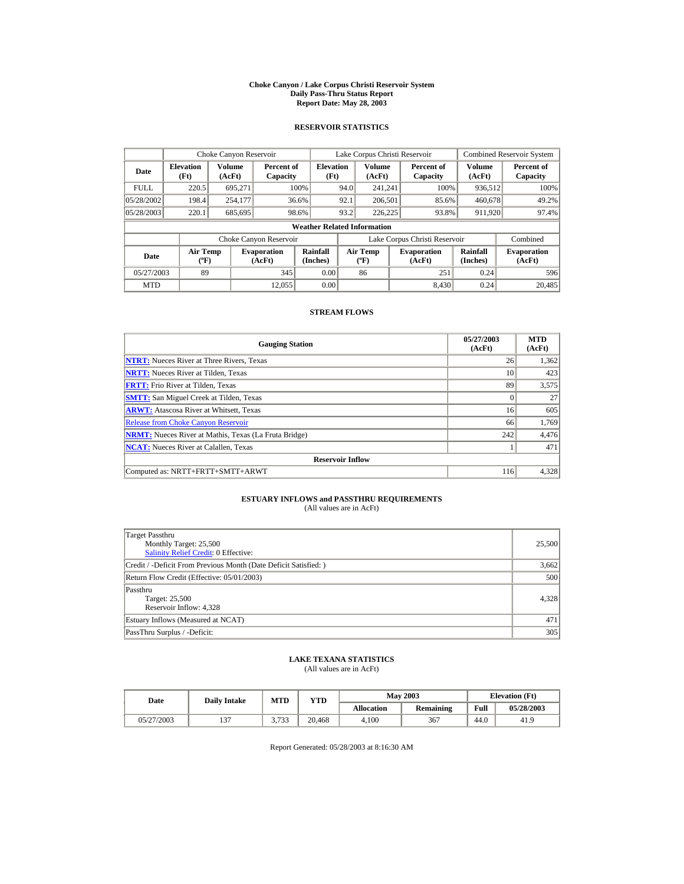#### **Choke Canyon / Lake Corpus Christi Reservoir System Daily Pass-Thru Status Report Report Date: May 28, 2003**

## **RESERVOIR STATISTICS**

|             | Choke Canyon Reservoir                      |                  |                              |                          | Lake Corpus Christi Reservoir |                                             |  |                               |                      | Combined Reservoir System    |  |  |
|-------------|---------------------------------------------|------------------|------------------------------|--------------------------|-------------------------------|---------------------------------------------|--|-------------------------------|----------------------|------------------------------|--|--|
| Date        | <b>Elevation</b><br>(Ft)                    | Volume<br>(AcFt) | Percent of<br>Capacity       | <b>Elevation</b><br>(Ft) |                               | Volume<br>(AcFt)                            |  | Percent of<br>Capacity        | Volume<br>(AcFt)     | Percent of<br>Capacity       |  |  |
| <b>FULL</b> | 220.5                                       | 695.271          |                              | 100%                     | 94.0                          | 241.241                                     |  | 100%                          | 936,512              | 100%                         |  |  |
| 05/28/2002  | 198.4                                       | 254,177          |                              | 36.6%                    | 92.1                          | 206,501                                     |  | 85.6%                         | 460,678              | 49.2%                        |  |  |
| 05/28/2003  | 220.1                                       | 685,695          |                              | 98.6%                    | 93.2                          | 226,225                                     |  | 93.8%                         | 911,920              | 97.4%                        |  |  |
|             | <b>Weather Related Information</b>          |                  |                              |                          |                               |                                             |  |                               |                      |                              |  |  |
|             |                                             |                  | Choke Canyon Reservoir       |                          |                               |                                             |  | Lake Corpus Christi Reservoir |                      | Combined                     |  |  |
| Date        | <b>Air Temp</b><br>$({}^{\circ}\mathrm{F})$ |                  | <b>Evaporation</b><br>(AcFt) | Rainfall<br>(Inches)     |                               | <b>Air Temp</b><br>$({}^{\circ}\mathbf{F})$ |  | <b>Evaporation</b><br>(AcFt)  | Rainfall<br>(Inches) | <b>Evaporation</b><br>(AcFt) |  |  |
| 05/27/2003  | 89                                          |                  | 345                          | 0.00                     |                               | 86                                          |  | 251                           | 0.24                 | 596                          |  |  |
| <b>MTD</b>  |                                             |                  | 12.055                       | 0.00                     |                               |                                             |  | 8.430                         | 0.24                 | 20,485                       |  |  |

## **STREAM FLOWS**

| <b>Gauging Station</b>                                       | 05/27/2003<br>(AcFt) | <b>MTD</b><br>(AcFt) |
|--------------------------------------------------------------|----------------------|----------------------|
| <b>NTRT:</b> Nueces River at Three Rivers, Texas             | 26                   | 1,362                |
| <b>NRTT:</b> Nueces River at Tilden, Texas                   | 10                   | 423                  |
| <b>FRTT:</b> Frio River at Tilden. Texas                     | 89                   | 3,575                |
| <b>SMTT:</b> San Miguel Creek at Tilden, Texas               | $\Omega$             | 27                   |
| <b>ARWT:</b> Atascosa River at Whitsett, Texas               | 16                   | 605                  |
| <b>Release from Choke Canyon Reservoir</b>                   | 66                   | 1,769                |
| <b>NRMT:</b> Nueces River at Mathis, Texas (La Fruta Bridge) | 242                  | 4,476                |
| <b>NCAT:</b> Nueces River at Calallen, Texas                 |                      | 471                  |
| <b>Reservoir Inflow</b>                                      |                      |                      |
| Computed as: NRTT+FRTT+SMTT+ARWT                             | 116                  | 4,328                |

# **ESTUARY INFLOWS and PASSTHRU REQUIREMENTS**<br>(All values are in AcFt)

| Target Passthru<br>Monthly Target: 25,500<br>Salinity Relief Credit: 0 Effective: | 25,500 |
|-----------------------------------------------------------------------------------|--------|
| Credit / -Deficit From Previous Month (Date Deficit Satisfied: )                  | 3,662  |
| Return Flow Credit (Effective: 05/01/2003)                                        | 500    |
| Passthru<br>Target: 25,500<br>Reservoir Inflow: 4,328                             | 4.328  |
| Estuary Inflows (Measured at NCAT)                                                | 471    |
| PassThru Surplus / -Deficit:                                                      | 305    |

## **LAKE TEXANA STATISTICS**

(All values are in AcFt)

| Date       | <b>Daily Intake</b> | MTD              | YTD    |                   | <b>May 2003</b>  | <b>Elevation</b> (Ft) |            |
|------------|---------------------|------------------|--------|-------------------|------------------|-----------------------|------------|
|            |                     |                  |        | <b>Allocation</b> | <b>Remaining</b> | Full                  | 05/28/2003 |
| 05/27/2003 | $\sim$              | 2.722<br>ر ر د ر | 20.468 | 4.100             | 367              | 44.0                  | 41.9       |

Report Generated: 05/28/2003 at 8:16:30 AM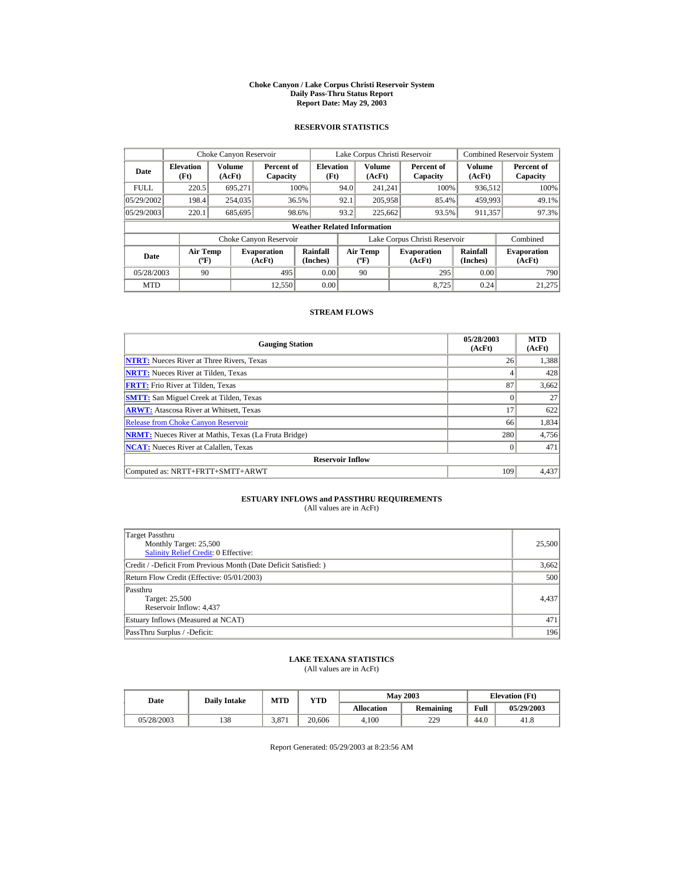#### **Choke Canyon / Lake Corpus Christi Reservoir System Daily Pass-Thru Status Report Report Date: May 29, 2003**

## **RESERVOIR STATISTICS**

|             | Choke Canyon Reservoir                      |                  |                              |                          | Lake Corpus Christi Reservoir |                                             |  |                               |                      | Combined Reservoir System    |  |  |
|-------------|---------------------------------------------|------------------|------------------------------|--------------------------|-------------------------------|---------------------------------------------|--|-------------------------------|----------------------|------------------------------|--|--|
| Date        | <b>Elevation</b><br>(Ft)                    | Volume<br>(AcFt) | Percent of<br>Capacity       | <b>Elevation</b><br>(Ft) |                               | Volume<br>(AcFt)                            |  | Percent of<br>Capacity        | Volume<br>(AcFt)     | Percent of<br>Capacity       |  |  |
| <b>FULL</b> | 220.5                                       | 695.271          |                              | 100%                     | 94.0                          | 241.241                                     |  | 100%                          | 936,512              | 100%                         |  |  |
| 05/29/2002  | 198.4                                       | 254,035          |                              | 36.5%                    | 92.1                          | 205,958                                     |  | 85.4%                         | 459,993              | 49.1%                        |  |  |
| 05/29/2003  | 220.1                                       | 685,695          |                              | 98.6%                    | 93.2                          | 225,662                                     |  | 93.5%                         | 911,357              | 97.3%                        |  |  |
|             | <b>Weather Related Information</b>          |                  |                              |                          |                               |                                             |  |                               |                      |                              |  |  |
|             |                                             |                  | Choke Canyon Reservoir       |                          |                               |                                             |  | Lake Corpus Christi Reservoir |                      | Combined                     |  |  |
| Date        | <b>Air Temp</b><br>$({}^{\circ}\mathrm{F})$ |                  | <b>Evaporation</b><br>(AcFt) | Rainfall<br>(Inches)     |                               | <b>Air Temp</b><br>$({}^{\circ}\mathbf{F})$ |  | <b>Evaporation</b><br>(AcFt)  | Rainfall<br>(Inches) | <b>Evaporation</b><br>(AcFt) |  |  |
| 05/28/2003  | 90                                          |                  | 495                          | 0.00                     |                               | 90                                          |  | 295                           | 0.00                 | 790                          |  |  |
| <b>MTD</b>  |                                             |                  | 12.550                       | 0.00                     |                               |                                             |  | 8.725                         | 0.24                 | 21,275                       |  |  |

## **STREAM FLOWS**

| <b>Gauging Station</b>                                       | 05/28/2003<br>(AcFt) | <b>MTD</b><br>(AcFt) |
|--------------------------------------------------------------|----------------------|----------------------|
| <b>NTRT:</b> Nueces River at Three Rivers, Texas             | 26                   | 1,388                |
| <b>NRTT:</b> Nueces River at Tilden, Texas                   | 4                    | 428                  |
| <b>FRTT:</b> Frio River at Tilden, Texas                     | 87                   | 3.662                |
| <b>SMTT:</b> San Miguel Creek at Tilden, Texas               | $\Omega$             | 27                   |
| <b>ARWT:</b> Atascosa River at Whitsett, Texas               | 17                   | 622                  |
| <b>Release from Choke Canyon Reservoir</b>                   | 66                   | 1,834                |
| <b>NRMT:</b> Nueces River at Mathis, Texas (La Fruta Bridge) | 280                  | 4,756                |
| <b>NCAT:</b> Nueces River at Calallen, Texas                 | $\Omega$             | 471                  |
| <b>Reservoir Inflow</b>                                      |                      |                      |
| Computed as: NRTT+FRTT+SMTT+ARWT                             | 109                  | 4,437                |

# **ESTUARY INFLOWS and PASSTHRU REQUIREMENTS**<br>(All values are in AcFt)

| Target Passthru<br>Monthly Target: 25,500<br>Salinity Relief Credit: 0 Effective: | 25,500 |
|-----------------------------------------------------------------------------------|--------|
| Credit / -Deficit From Previous Month (Date Deficit Satisfied: )                  | 3,662  |
| Return Flow Credit (Effective: 05/01/2003)                                        | 500    |
| Passthru<br>Target: 25,500<br>Reservoir Inflow: 4,437                             | 4.437  |
| Estuary Inflows (Measured at NCAT)                                                | 471    |
| PassThru Surplus / -Deficit:                                                      | 196    |

## **LAKE TEXANA STATISTICS**

(All values are in AcFt)

| Date       | <b>Daily Intake</b> | <b>MTD</b> | YTD    |                   | <b>May 2003</b>  | <b>Elevation</b> (Ft) |            |
|------------|---------------------|------------|--------|-------------------|------------------|-----------------------|------------|
|            |                     |            |        | <b>Allocation</b> | <b>Remaining</b> | Full                  | 05/29/2003 |
| 05/28/2003 | 138                 | 3.87       | 20,606 | 4.100             | 229              | 44.0                  | 41.8       |

Report Generated: 05/29/2003 at 8:23:56 AM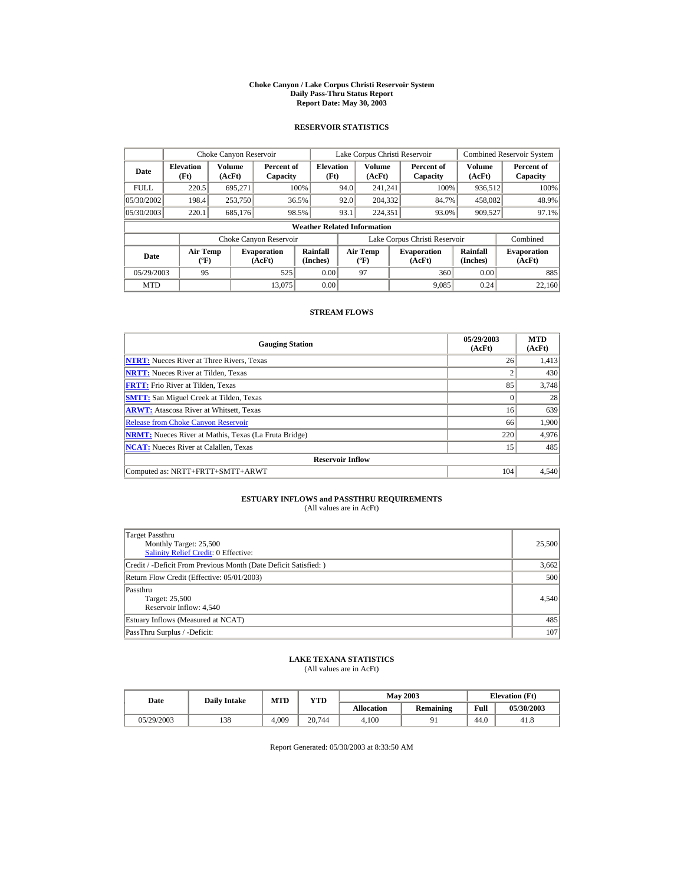#### **Choke Canyon / Lake Corpus Christi Reservoir System Daily Pass-Thru Status Report Report Date: May 30, 2003**

## **RESERVOIR STATISTICS**

|             | Choke Canyon Reservoir                      |                  |                              |                          | Lake Corpus Christi Reservoir |                                  |  |                               |                      | Combined Reservoir System    |  |  |
|-------------|---------------------------------------------|------------------|------------------------------|--------------------------|-------------------------------|----------------------------------|--|-------------------------------|----------------------|------------------------------|--|--|
| Date        | <b>Elevation</b><br>(Ft)                    | Volume<br>(AcFt) | Percent of<br>Capacity       | <b>Elevation</b><br>(Ft) |                               | Volume<br>(AcFt)                 |  | Percent of<br>Capacity        | Volume<br>(AcFt)     | Percent of<br>Capacity       |  |  |
| <b>FULL</b> | 220.5                                       | 695.271          |                              | 100%                     | 94.0                          | 241.241                          |  | 100%                          | 936,512              | 100%                         |  |  |
| 05/30/2002  | 198.4                                       | 253,750          |                              | 36.5%                    | 92.0                          | 204,332                          |  | 84.7%                         | 458,082              | 48.9%                        |  |  |
| 05/30/2003  | 220.1                                       | 685,176          |                              | 98.5%                    | 93.1                          | 224.351                          |  | 93.0%                         | 909,527              | 97.1%                        |  |  |
|             | <b>Weather Related Information</b>          |                  |                              |                          |                               |                                  |  |                               |                      |                              |  |  |
|             |                                             |                  | Choke Canyon Reservoir       |                          |                               |                                  |  | Lake Corpus Christi Reservoir |                      | Combined                     |  |  |
| Date        | <b>Air Temp</b><br>$({}^{\circ}\mathrm{F})$ |                  | <b>Evaporation</b><br>(AcFt) | Rainfall<br>(Inches)     |                               | <b>Air Temp</b><br>$(^{\circ}F)$ |  | <b>Evaporation</b><br>(AcFt)  | Rainfall<br>(Inches) | <b>Evaporation</b><br>(AcFt) |  |  |
| 05/29/2003  | 95                                          |                  | 525                          | 0.00                     |                               | 97                               |  | 360                           | 0.00                 | 885                          |  |  |
| <b>MTD</b>  |                                             |                  | 13.075                       | 0.00                     |                               |                                  |  | 9.085                         | 0.24                 | 22,160                       |  |  |

## **STREAM FLOWS**

| <b>Gauging Station</b>                                       | 05/29/2003<br>(AcFt) | <b>MTD</b><br>(AcFt) |
|--------------------------------------------------------------|----------------------|----------------------|
| <b>NTRT:</b> Nueces River at Three Rivers, Texas             | 26                   | 1,413                |
| <b>NRTT:</b> Nueces River at Tilden, Texas                   | 2                    | 430                  |
| <b>FRTT:</b> Frio River at Tilden, Texas                     | 85                   | 3.748                |
| <b>SMTT:</b> San Miguel Creek at Tilden, Texas               | $\Omega$             | 28                   |
| <b>ARWT:</b> Atascosa River at Whitsett, Texas               | 16                   | 639                  |
| <b>Release from Choke Canyon Reservoir</b>                   | 66                   | 1,900                |
| <b>NRMT:</b> Nueces River at Mathis, Texas (La Fruta Bridge) | 220                  | 4,976                |
| <b>NCAT:</b> Nueces River at Calallen, Texas                 | 15                   | 485                  |
| <b>Reservoir Inflow</b>                                      |                      |                      |
| Computed as: NRTT+FRTT+SMTT+ARWT                             | 104                  | 4,540                |

# **ESTUARY INFLOWS and PASSTHRU REQUIREMENTS**<br>(All values are in AcFt)

| Target Passthru<br>Monthly Target: 25,500<br>Salinity Relief Credit: 0 Effective: | 25,500 |
|-----------------------------------------------------------------------------------|--------|
| Credit / -Deficit From Previous Month (Date Deficit Satisfied: )                  | 3,662  |
| Return Flow Credit (Effective: 05/01/2003)                                        | 500    |
| Passthru<br>Target: 25,500<br>Reservoir Inflow: 4,540                             | 4.540  |
| Estuary Inflows (Measured at NCAT)                                                | 485    |
| PassThru Surplus / -Deficit:                                                      | 107    |

## **LAKE TEXANA STATISTICS**

(All values are in AcFt)

| Date       | <b>Daily Intake</b> | MTD   | YTD    |                   | <b>May 2003</b>  | <b>Elevation</b> (Ft) |            |
|------------|---------------------|-------|--------|-------------------|------------------|-----------------------|------------|
|            |                     |       |        | <b>Allocation</b> | <b>Remaining</b> | Full                  | 05/30/2003 |
| 05/29/2003 | 138                 | 4.009 | 20.744 | 4.100             | n.               | 44.0                  | 41.8       |

Report Generated: 05/30/2003 at 8:33:50 AM